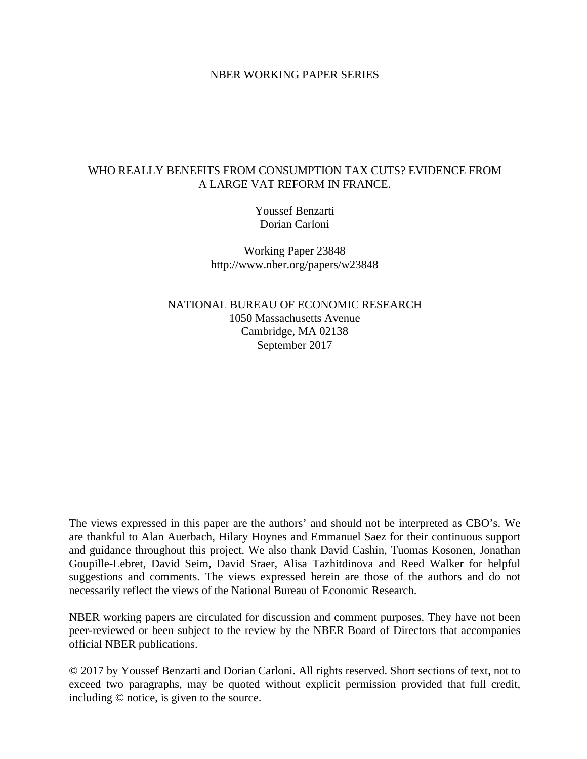## NBER WORKING PAPER SERIES

## WHO REALLY BENEFITS FROM CONSUMPTION TAX CUTS? EVIDENCE FROM A LARGE VAT REFORM IN FRANCE.

Youssef Benzarti Dorian Carloni

Working Paper 23848 http://www.nber.org/papers/w23848

NATIONAL BUREAU OF ECONOMIC RESEARCH 1050 Massachusetts Avenue Cambridge, MA 02138 September 2017

The views expressed in this paper are the authors' and should not be interpreted as CBO's. We are thankful to Alan Auerbach, Hilary Hoynes and Emmanuel Saez for their continuous support and guidance throughout this project. We also thank David Cashin, Tuomas Kosonen, Jonathan Goupille-Lebret, David Seim, David Sraer, Alisa Tazhitdinova and Reed Walker for helpful suggestions and comments. The views expressed herein are those of the authors and do not necessarily reflect the views of the National Bureau of Economic Research.

NBER working papers are circulated for discussion and comment purposes. They have not been peer-reviewed or been subject to the review by the NBER Board of Directors that accompanies official NBER publications.

© 2017 by Youssef Benzarti and Dorian Carloni. All rights reserved. Short sections of text, not to exceed two paragraphs, may be quoted without explicit permission provided that full credit, including © notice, is given to the source.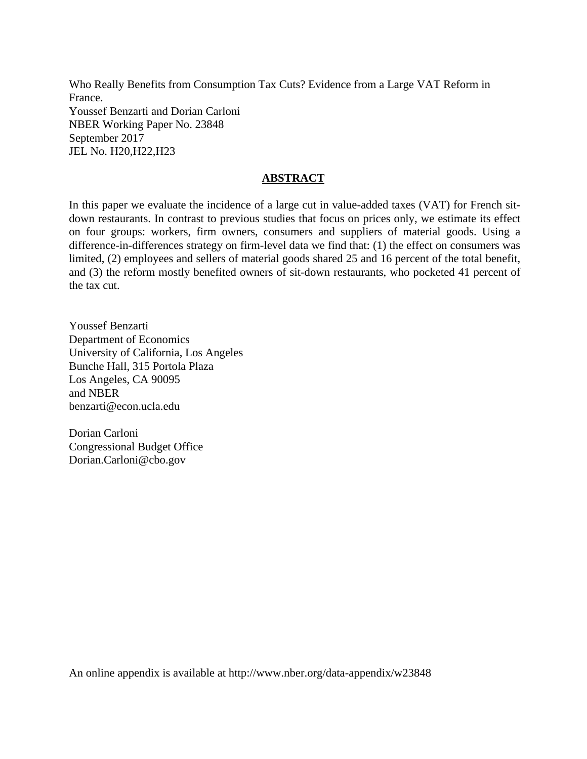Who Really Benefits from Consumption Tax Cuts? Evidence from a Large VAT Reform in France. Youssef Benzarti and Dorian Carloni NBER Working Paper No. 23848 September 2017 JEL No. H20,H22,H23

# **ABSTRACT**

In this paper we evaluate the incidence of a large cut in value-added taxes (VAT) for French sitdown restaurants. In contrast to previous studies that focus on prices only, we estimate its effect on four groups: workers, firm owners, consumers and suppliers of material goods. Using a difference-in-differences strategy on firm-level data we find that: (1) the effect on consumers was limited, (2) employees and sellers of material goods shared 25 and 16 percent of the total benefit, and (3) the reform mostly benefited owners of sit-down restaurants, who pocketed 41 percent of the tax cut.

Youssef Benzarti Department of Economics University of California, Los Angeles Bunche Hall, 315 Portola Plaza Los Angeles, CA 90095 and NBER benzarti@econ.ucla.edu

Dorian Carloni Congressional Budget Office Dorian.Carloni@cbo.gov

An online appendix is available at http://www.nber.org/data-appendix/w23848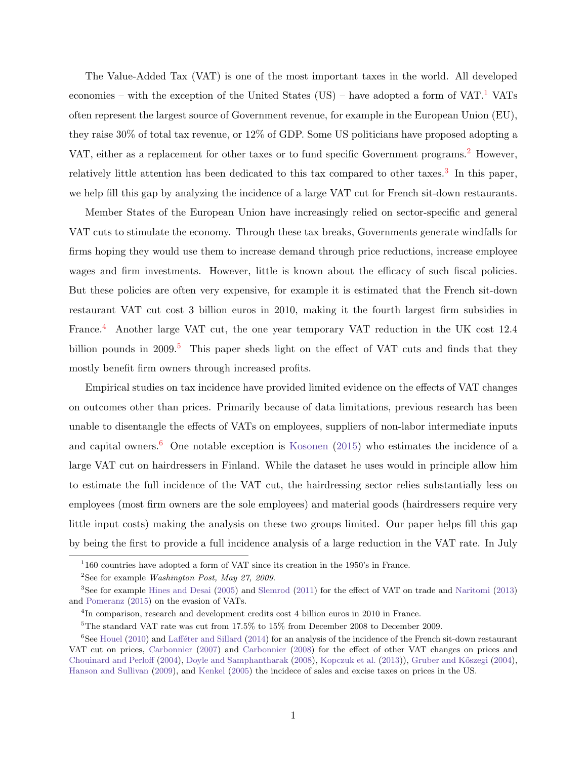The Value-Added Tax (VAT) is one of the most important taxes in the world. All developed economies – with the exception of the United States (US) – have adopted a form of  $VAT$ .<sup>[1](#page-2-0)</sup> VATs often represent the largest source of Government revenue, for example in the European Union (EU), they raise 30% of total tax revenue, or 12% of GDP. Some US politicians have proposed adopting a VAT, either as a replacement for other taxes or to fund specific Government programs.<sup>[2](#page-2-1)</sup> However, relatively little attention has been dedicated to this tax compared to other taxes.<sup>[3](#page-2-2)</sup> In this paper, we help fill this gap by analyzing the incidence of a large VAT cut for French sit-down restaurants.

Member States of the European Union have increasingly relied on sector-specific and general VAT cuts to stimulate the economy. Through these tax breaks, Governments generate windfalls for firms hoping they would use them to increase demand through price reductions, increase employee wages and firm investments. However, little is known about the efficacy of such fiscal policies. But these policies are often very expensive, for example it is estimated that the French sit-down restaurant VAT cut cost 3 billion euros in 2010, making it the fourth largest firm subsidies in France.<sup>[4](#page-2-3)</sup> Another large VAT cut, the one year temporary VAT reduction in the UK cost 12.4 billion pounds in 2009.<sup>[5](#page-2-4)</sup> This paper sheds light on the effect of VAT cuts and finds that they mostly benefit firm owners through increased profits.

Empirical studies on tax incidence have provided limited evidence on the effects of VAT changes on outcomes other than prices. Primarily because of data limitations, previous research has been unable to disentangle the effects of VATs on employees, suppliers of non-labor intermediate inputs and capital owners.<sup>[6](#page-2-5)</sup> One notable exception is [Kosonen](#page-24-0)  $(2015)$  who estimates the incidence of a large VAT cut on hairdressers in Finland. While the dataset he uses would in principle allow him to estimate the full incidence of the VAT cut, the hairdressing sector relies substantially less on employees (most firm owners are the sole employees) and material goods (hairdressers require very little input costs) making the analysis on these two groups limited. Our paper helps fill this gap by being the first to provide a full incidence analysis of a large reduction in the VAT rate. In July

<span id="page-2-0"></span><sup>&</sup>lt;sup>1</sup>160 countries have adopted a form of VAT since its creation in the 1950's in France.

<span id="page-2-2"></span><span id="page-2-1"></span><sup>&</sup>lt;sup>2</sup>See for example *Washington Post, May 27, 2009*.

<sup>3</sup>See for example [Hines and Desai](#page-24-1) [\(2005\)](#page-24-1) and [Slemrod](#page-24-2) [\(2011\)](#page-24-2) for the effect of VAT on trade and [Naritomi](#page-24-3) [\(2013\)](#page-24-3) and [Pomeranz](#page-24-4) [\(2015\)](#page-24-4) on the evasion of VATs.

<span id="page-2-3"></span><sup>&</sup>lt;sup>4</sup>In comparison, research and development credits cost 4 billion euros in 2010 in France.

<span id="page-2-5"></span><span id="page-2-4"></span><sup>5</sup>The standard VAT rate was cut from 17.5% to 15% from December 2008 to December 2009.

 ${}^{6}$ See [Houel](#page-24-5) [\(2010\)](#page-24-5) and Lafféter and Sillard [\(2014\)](#page-24-6) for an analysis of the incidence of the French sit-down restaurant VAT cut on prices, [Carbonnier](#page-23-0) [\(2007\)](#page-23-0) and [Carbonnier](#page-23-1) [\(2008\)](#page-23-1) for the effect of other VAT changes on prices and [Chouinard and Perloff](#page-23-2) [\(2004\)](#page-23-2), [Doyle and Samphantharak](#page-24-7) [\(2008\)](#page-24-7), [Kopczuk et al.](#page-24-8) [\(2013\)](#page-24-8)), [Gruber and K˝oszegi](#page-24-9) [\(2004\)](#page-24-9), [Hanson and Sullivan](#page-24-10) [\(2009\)](#page-24-10), and [Kenkel](#page-24-11) [\(2005\)](#page-24-11) the incidece of sales and excise taxes on prices in the US.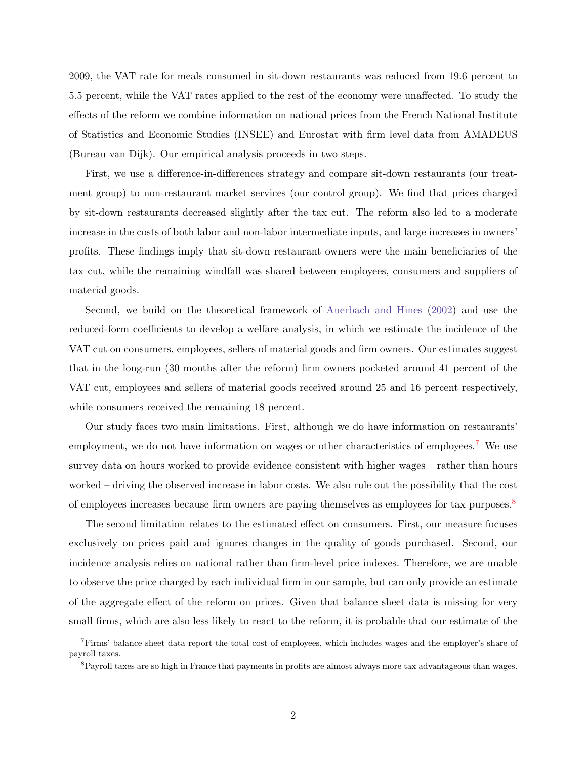2009, the VAT rate for meals consumed in sit-down restaurants was reduced from 19.6 percent to 5.5 percent, while the VAT rates applied to the rest of the economy were unaffected. To study the effects of the reform we combine information on national prices from the French National Institute of Statistics and Economic Studies (INSEE) and Eurostat with firm level data from AMADEUS (Bureau van Dijk). Our empirical analysis proceeds in two steps.

First, we use a difference-in-differences strategy and compare sit-down restaurants (our treatment group) to non-restaurant market services (our control group). We find that prices charged by sit-down restaurants decreased slightly after the tax cut. The reform also led to a moderate increase in the costs of both labor and non-labor intermediate inputs, and large increases in owners' profits. These findings imply that sit-down restaurant owners were the main beneficiaries of the tax cut, while the remaining windfall was shared between employees, consumers and suppliers of material goods.

Second, we build on the theoretical framework of [Auerbach and Hines](#page-23-3) [\(2002\)](#page-23-3) and use the reduced-form coefficients to develop a welfare analysis, in which we estimate the incidence of the VAT cut on consumers, employees, sellers of material goods and firm owners. Our estimates suggest that in the long-run (30 months after the reform) firm owners pocketed around 41 percent of the VAT cut, employees and sellers of material goods received around 25 and 16 percent respectively, while consumers received the remaining 18 percent.

Our study faces two main limitations. First, although we do have information on restaurants' employment, we do not have information on wages or other characteristics of employees.<sup>[7](#page-3-0)</sup> We use survey data on hours worked to provide evidence consistent with higher wages – rather than hours worked – driving the observed increase in labor costs. We also rule out the possibility that the cost of employees increases because firm owners are paying themselves as employees for tax purposes.<sup>[8](#page-3-1)</sup>

The second limitation relates to the estimated effect on consumers. First, our measure focuses exclusively on prices paid and ignores changes in the quality of goods purchased. Second, our incidence analysis relies on national rather than firm-level price indexes. Therefore, we are unable to observe the price charged by each individual firm in our sample, but can only provide an estimate of the aggregate effect of the reform on prices. Given that balance sheet data is missing for very small firms, which are also less likely to react to the reform, it is probable that our estimate of the

<span id="page-3-0"></span><sup>7</sup>Firms' balance sheet data report the total cost of employees, which includes wages and the employer's share of payroll taxes.

<span id="page-3-1"></span><sup>&</sup>lt;sup>8</sup>Payroll taxes are so high in France that payments in profits are almost always more tax advantageous than wages.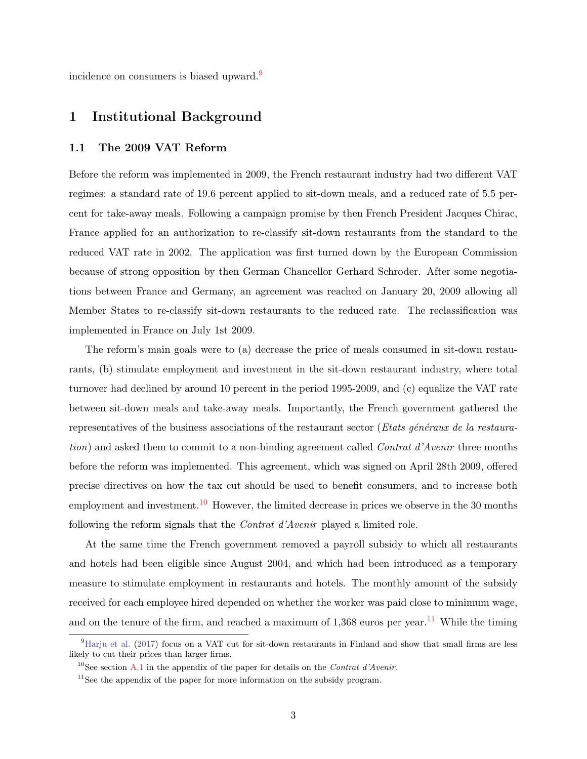incidence on consumers is biased upward.[9](#page-4-0)

# 1 Institutional Background

## 1.1 The 2009 VAT Reform

Before the reform was implemented in 2009, the French restaurant industry had two different VAT regimes: a standard rate of 19.6 percent applied to sit-down meals, and a reduced rate of 5.5 percent for take-away meals. Following a campaign promise by then French President Jacques Chirac, France applied for an authorization to re-classify sit-down restaurants from the standard to the reduced VAT rate in 2002. The application was first turned down by the European Commission because of strong opposition by then German Chancellor Gerhard Schroder. After some negotiations between France and Germany, an agreement was reached on January 20, 2009 allowing all Member States to re-classify sit-down restaurants to the reduced rate. The reclassification was implemented in France on July 1st 2009.

The reform's main goals were to (a) decrease the price of meals consumed in sit-down restaurants, (b) stimulate employment and investment in the sit-down restaurant industry, where total turnover had declined by around 10 percent in the period 1995-2009, and (c) equalize the VAT rate between sit-down meals and take-away meals. Importantly, the French government gathered the representatives of the business associations of the restaurant sector (Etats généraux de la restauration) and asked them to commit to a non-binding agreement called Contrat d'Avenir three months before the reform was implemented. This agreement, which was signed on April 28th 2009, offered precise directives on how the tax cut should be used to benefit consumers, and to increase both employment and investment.<sup>[10](#page-4-1)</sup> However, the limited decrease in prices we observe in the 30 months following the reform signals that the Contrat d'Avenir played a limited role.

At the same time the French government removed a payroll subsidy to which all restaurants and hotels had been eligible since August 2004, and which had been introduced as a temporary measure to stimulate employment in restaurants and hotels. The monthly amount of the subsidy received for each employee hired depended on whether the worker was paid close to minimum wage, and on the tenure of the firm, and reached a maximum of  $1.368$  euros per year.<sup>[11](#page-4-2)</sup> While the timing

<span id="page-4-0"></span> $^{9}$ [Harju et al.](#page-24-12) [\(2017\)](#page-24-12) focus on a VAT cut for sit-down restaurants in Finland and show that small firms are less likely to cut their prices than larger firms.

<span id="page-4-1"></span><sup>&</sup>lt;sup>10</sup>See section [A.1](#page-38-0) in the appendix of the paper for details on the *Contrat d'Avenir*.

<span id="page-4-2"></span> $11$ See the appendix of the paper for more information on the subsidy program.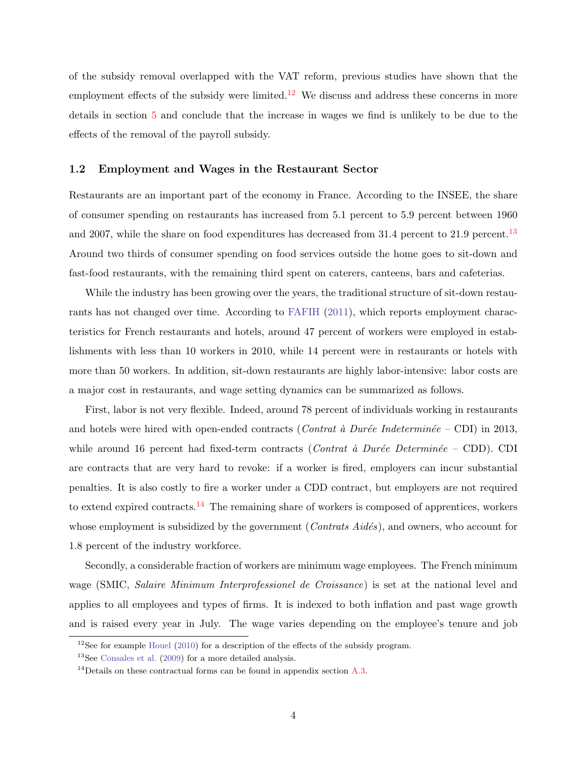of the subsidy removal overlapped with the VAT reform, previous studies have shown that the employment effects of the subsidy were limited.<sup>[12](#page-5-0)</sup> We discuss and address these concerns in more details in section [5](#page-14-0) and conclude that the increase in wages we find is unlikely to be due to the effects of the removal of the payroll subsidy.

### 1.2 Employment and Wages in the Restaurant Sector

Restaurants are an important part of the economy in France. According to the INSEE, the share of consumer spending on restaurants has increased from 5.1 percent to 5.9 percent between 1960 and 2007, while the share on food expenditures has decreased from 31.4 percent to 21.9 percent.<sup>[13](#page-5-1)</sup> Around two thirds of consumer spending on food services outside the home goes to sit-down and fast-food restaurants, with the remaining third spent on caterers, canteens, bars and cafeterias.

While the industry has been growing over the years, the traditional structure of sit-down restaurants has not changed over time. According to [FAFIH](#page-24-13) [\(2011\)](#page-24-13), which reports employment characteristics for French restaurants and hotels, around 47 percent of workers were employed in establishments with less than 10 workers in 2010, while 14 percent were in restaurants or hotels with more than 50 workers. In addition, sit-down restaurants are highly labor-intensive: labor costs are a major cost in restaurants, and wage setting dynamics can be summarized as follows.

First, labor is not very flexible. Indeed, around 78 percent of individuals working in restaurants and hotels were hired with open-ended contracts (Contrat à Durée Indeterminée – CDI) in 2013, while around 16 percent had fixed-term contracts (*Contrat à Durée Determinée –* CDD). CDI are contracts that are very hard to revoke: if a worker is fired, employers can incur substantial penalties. It is also costly to fire a worker under a CDD contract, but employers are not required to extend expired contracts.<sup>[14](#page-5-2)</sup> The remaining share of workers is composed of apprentices, workers whose employment is subsidized by the government (Contrats  $Aid\acute{e}s$ ), and owners, who account for 1.8 percent of the industry workforce.

Secondly, a considerable fraction of workers are minimum wage employees. The French minimum wage (SMIC, Salaire Minimum Interprofessionel de Croissance) is set at the national level and applies to all employees and types of firms. It is indexed to both inflation and past wage growth and is raised every year in July. The wage varies depending on the employee's tenure and job

<span id="page-5-0"></span> $12$ See for example [Houel](#page-24-5) [\(2010\)](#page-24-5) for a description of the effects of the subsidy program.

<span id="page-5-1"></span><sup>13</sup>See [Consales et al.](#page-23-4) [\(2009\)](#page-23-4) for a more detailed analysis.

<span id="page-5-2"></span><sup>&</sup>lt;sup>14</sup>Details on these contractual forms can be found in appendix section [A.3.](#page-40-0)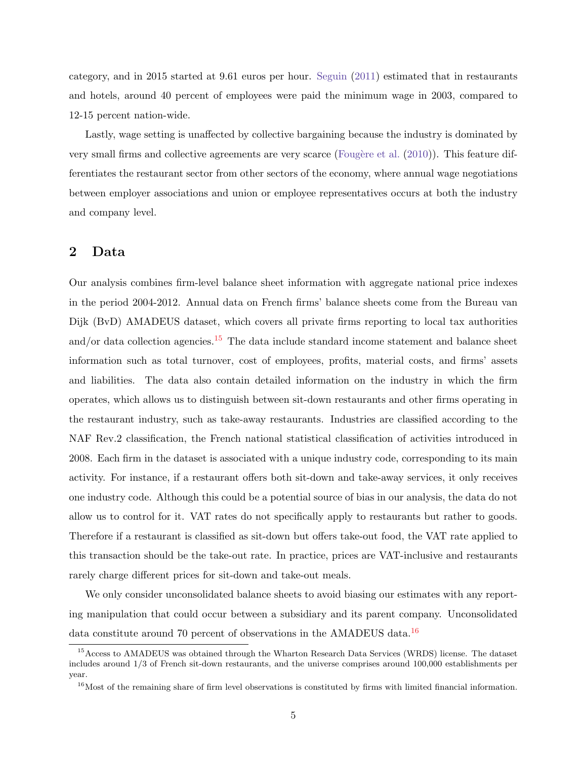category, and in 2015 started at 9.61 euros per hour. [Seguin](#page-24-14) [\(2011\)](#page-24-14) estimated that in restaurants and hotels, around 40 percent of employees were paid the minimum wage in 2003, compared to 12-15 percent nation-wide.

Lastly, wage setting is unaffected by collective bargaining because the industry is dominated by very small firms and collective agreements are very scarce (Fougère et al.  $(2010)$ ). This feature differentiates the restaurant sector from other sectors of the economy, where annual wage negotiations between employer associations and union or employee representatives occurs at both the industry and company level.

# 2 Data

Our analysis combines firm-level balance sheet information with aggregate national price indexes in the period 2004-2012. Annual data on French firms' balance sheets come from the Bureau van Dijk (BvD) AMADEUS dataset, which covers all private firms reporting to local tax authorities and/or data collection agencies.<sup>[15](#page-6-0)</sup> The data include standard income statement and balance sheet information such as total turnover, cost of employees, profits, material costs, and firms' assets and liabilities. The data also contain detailed information on the industry in which the firm operates, which allows us to distinguish between sit-down restaurants and other firms operating in the restaurant industry, such as take-away restaurants. Industries are classified according to the NAF Rev.2 classification, the French national statistical classification of activities introduced in 2008. Each firm in the dataset is associated with a unique industry code, corresponding to its main activity. For instance, if a restaurant offers both sit-down and take-away services, it only receives one industry code. Although this could be a potential source of bias in our analysis, the data do not allow us to control for it. VAT rates do not specifically apply to restaurants but rather to goods. Therefore if a restaurant is classified as sit-down but offers take-out food, the VAT rate applied to this transaction should be the take-out rate. In practice, prices are VAT-inclusive and restaurants rarely charge different prices for sit-down and take-out meals.

We only consider unconsolidated balance sheets to avoid biasing our estimates with any reporting manipulation that could occur between a subsidiary and its parent company. Unconsolidated data constitute around 70 percent of observations in the AMADEUS data.<sup>[16](#page-6-1)</sup>

<span id="page-6-0"></span><sup>15</sup>Access to AMADEUS was obtained through the Wharton Research Data Services (WRDS) license. The dataset includes around 1/3 of French sit-down restaurants, and the universe comprises around 100,000 establishments per year.

<span id="page-6-1"></span> $16$ Most of the remaining share of firm level observations is constituted by firms with limited financial information.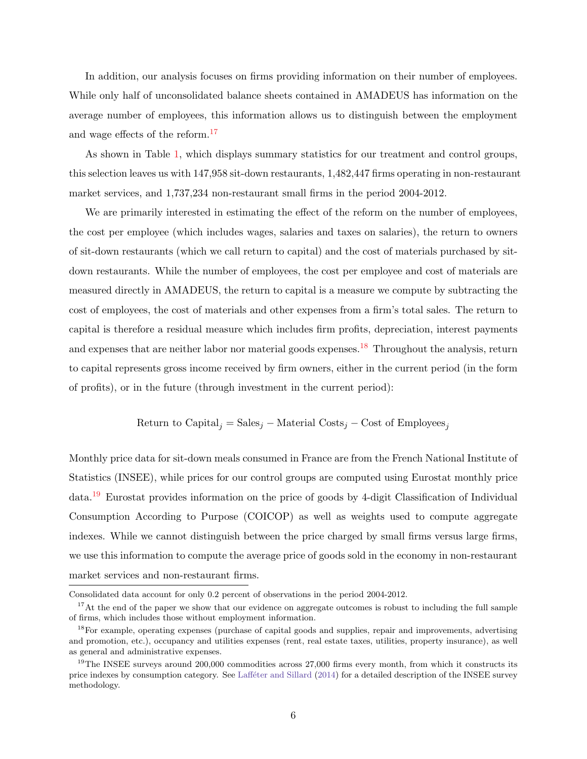In addition, our analysis focuses on firms providing information on their number of employees. While only half of unconsolidated balance sheets contained in AMADEUS has information on the average number of employees, this information allows us to distinguish between the employment and wage effects of the reform.<sup>[17](#page-7-0)</sup>

As shown in Table [1,](#page-33-0) which displays summary statistics for our treatment and control groups, this selection leaves us with 147,958 sit-down restaurants, 1,482,447 firms operating in non-restaurant market services, and 1,737,234 non-restaurant small firms in the period 2004-2012.

We are primarily interested in estimating the effect of the reform on the number of employees, the cost per employee (which includes wages, salaries and taxes on salaries), the return to owners of sit-down restaurants (which we call return to capital) and the cost of materials purchased by sitdown restaurants. While the number of employees, the cost per employee and cost of materials are measured directly in AMADEUS, the return to capital is a measure we compute by subtracting the cost of employees, the cost of materials and other expenses from a firm's total sales. The return to capital is therefore a residual measure which includes firm profits, depreciation, interest payments and expenses that are neither labor nor material goods expenses.<sup>[18](#page-7-1)</sup> Throughout the analysis, return to capital represents gross income received by firm owners, either in the current period (in the form of profits), or in the future (through investment in the current period):

Return to Capital<sub>j</sub> = Sales<sub>j</sub> – Material Costs<sub>j</sub> – Cost of Employees<sub>j</sub>

Monthly price data for sit-down meals consumed in France are from the French National Institute of Statistics (INSEE), while prices for our control groups are computed using Eurostat monthly price data.[19](#page-7-2) Eurostat provides information on the price of goods by 4-digit Classification of Individual Consumption According to Purpose (COICOP) as well as weights used to compute aggregate indexes. While we cannot distinguish between the price charged by small firms versus large firms, we use this information to compute the average price of goods sold in the economy in non-restaurant market services and non-restaurant firms.

Consolidated data account for only 0.2 percent of observations in the period 2004-2012.

<span id="page-7-0"></span> $17$ At the end of the paper we show that our evidence on aggregate outcomes is robust to including the full sample of firms, which includes those without employment information.

<span id="page-7-1"></span><sup>&</sup>lt;sup>18</sup>For example, operating expenses (purchase of capital goods and supplies, repair and improvements, advertising and promotion, etc.), occupancy and utilities expenses (rent, real estate taxes, utilities, property insurance), as well as general and administrative expenses.

<span id="page-7-2"></span> $19$ The INSEE surveys around 200,000 commodities across 27,000 firms every month, from which it constructs its price indexes by consumption category. See Laffeter and Sillard [\(2014\)](#page-24-6) for a detailed description of the INSEE survey methodology.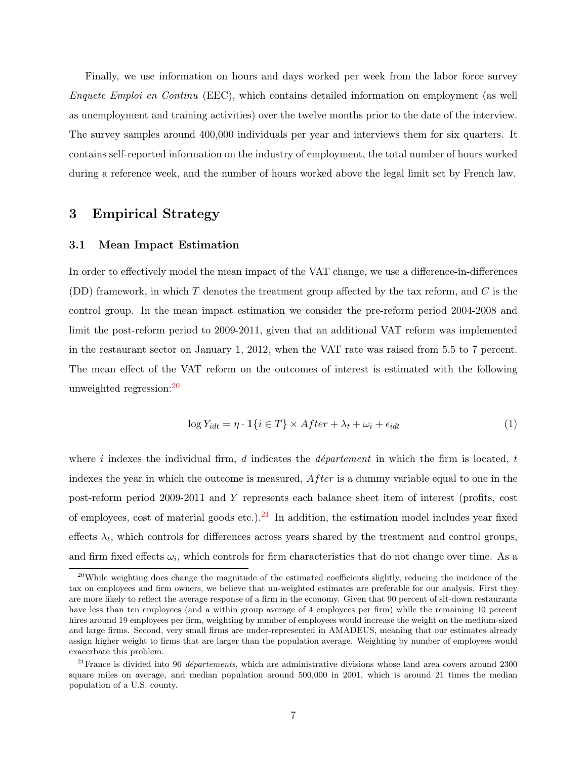Finally, we use information on hours and days worked per week from the labor force survey Enquete Emploi en Continu (EEC), which contains detailed information on employment (as well as unemployment and training activities) over the twelve months prior to the date of the interview. The survey samples around 400,000 individuals per year and interviews them for six quarters. It contains self-reported information on the industry of employment, the total number of hours worked during a reference week, and the number of hours worked above the legal limit set by French law.

# 3 Empirical Strategy

## 3.1 Mean Impact Estimation

In order to effectively model the mean impact of the VAT change, we use a difference-in-differences (DD) framework, in which  $T$  denotes the treatment group affected by the tax reform, and  $C$  is the control group. In the mean impact estimation we consider the pre-reform period 2004-2008 and limit the post-reform period to 2009-2011, given that an additional VAT reform was implemented in the restaurant sector on January 1, 2012, when the VAT rate was raised from 5.5 to 7 percent. The mean effect of the VAT reform on the outcomes of interest is estimated with the following unweighted regression:[20](#page-8-0)

<span id="page-8-2"></span>
$$
\log Y_{idt} = \eta \cdot \mathbb{1}\{i \in T\} \times After + \lambda_t + \omega_i + \epsilon_{idt} \tag{1}
$$

where i indexes the individual firm, d indicates the département in which the firm is located, t indexes the year in which the outcome is measured,  $After$  is a dummy variable equal to one in the post-reform period 2009-2011 and Y represents each balance sheet item of interest (profits, cost of employees, cost of material goods etc.).<sup>[21](#page-8-1)</sup> In addition, the estimation model includes year fixed effects  $\lambda_t$ , which controls for differences across years shared by the treatment and control groups, and firm fixed effects  $\omega_i$ , which controls for firm characteristics that do not change over time. As a

<span id="page-8-0"></span><sup>&</sup>lt;sup>20</sup>While weighting does change the magnitude of the estimated coefficients slightly, reducing the incidence of the tax on employees and firm owners, we believe that un-weighted estimates are preferable for our analysis. First they are more likely to reflect the average response of a firm in the economy. Given that 90 percent of sit-down restaurants have less than ten employees (and a within group average of 4 employees per firm) while the remaining 10 percent hires around 19 employees per firm, weighting by number of employees would increase the weight on the medium-sized and large firms. Second, very small firms are under-represented in AMADEUS, meaning that our estimates already assign higher weight to firms that are larger than the population average. Weighting by number of employees would exacerbate this problem.

<span id="page-8-1"></span> $^{21}$ France is divided into 96 *départements*, which are administrative divisions whose land area covers around 2300 square miles on average, and median population around 500,000 in 2001, which is around 21 times the median population of a U.S. county.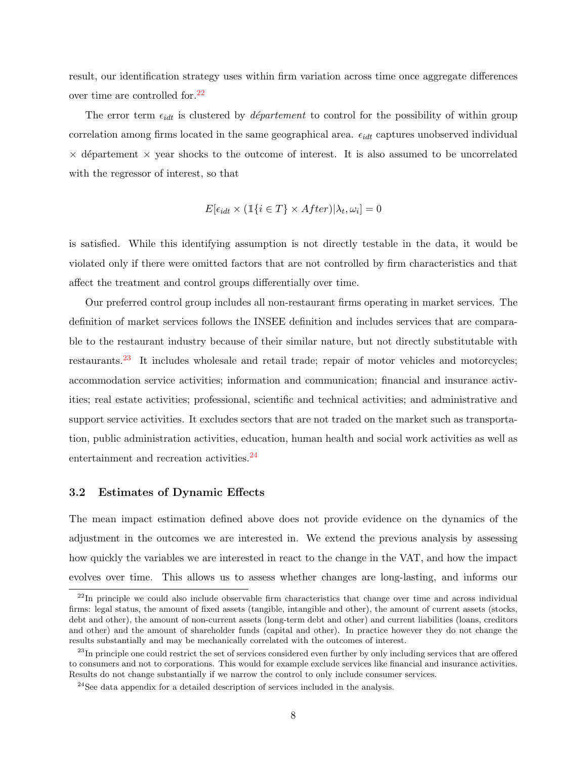result, our identification strategy uses within firm variation across time once aggregate differences over time are controlled for.[22](#page-9-0)

The error term  $\epsilon_{idt}$  is clustered by *département* to control for the possibility of within group correlation among firms located in the same geographical area.  $\epsilon_{idt}$  captures unobserved individual  $\times$  département  $\times$  year shocks to the outcome of interest. It is also assumed to be uncorrelated with the regressor of interest, so that

$$
E[\epsilon_{idt} \times (\mathbb{1}\{i \in T\} \times After)|\lambda_t, \omega_i] = 0
$$

is satisfied. While this identifying assumption is not directly testable in the data, it would be violated only if there were omitted factors that are not controlled by firm characteristics and that affect the treatment and control groups differentially over time.

Our preferred control group includes all non-restaurant firms operating in market services. The definition of market services follows the INSEE definition and includes services that are comparable to the restaurant industry because of their similar nature, but not directly substitutable with restaurants.[23](#page-9-1) It includes wholesale and retail trade; repair of motor vehicles and motorcycles; accommodation service activities; information and communication; financial and insurance activities; real estate activities; professional, scientific and technical activities; and administrative and support service activities. It excludes sectors that are not traded on the market such as transportation, public administration activities, education, human health and social work activities as well as entertainment and recreation activities.<sup>[24](#page-9-2)</sup>

### 3.2 Estimates of Dynamic Effects

The mean impact estimation defined above does not provide evidence on the dynamics of the adjustment in the outcomes we are interested in. We extend the previous analysis by assessing how quickly the variables we are interested in react to the change in the VAT, and how the impact evolves over time. This allows us to assess whether changes are long-lasting, and informs our

<span id="page-9-0"></span> $^{22}$ In principle we could also include observable firm characteristics that change over time and across individual firms: legal status, the amount of fixed assets (tangible, intangible and other), the amount of current assets (stocks, debt and other), the amount of non-current assets (long-term debt and other) and current liabilities (loans, creditors and other) and the amount of shareholder funds (capital and other). In practice however they do not change the results substantially and may be mechanically correlated with the outcomes of interest.

<span id="page-9-1"></span><sup>&</sup>lt;sup>23</sup>In principle one could restrict the set of services considered even further by only including services that are offered to consumers and not to corporations. This would for example exclude services like financial and insurance activities. Results do not change substantially if we narrow the control to only include consumer services.

<span id="page-9-2"></span><sup>24</sup>See data appendix for a detailed description of services included in the analysis.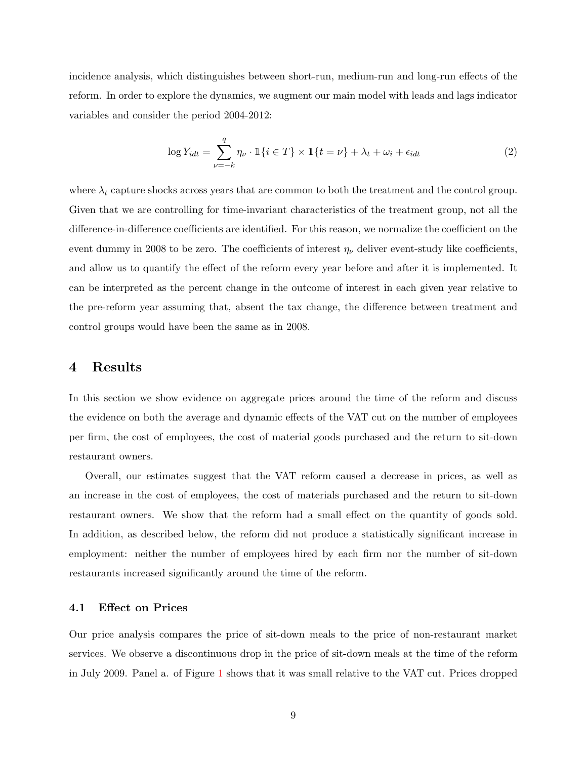incidence analysis, which distinguishes between short-run, medium-run and long-run effects of the reform. In order to explore the dynamics, we augment our main model with leads and lags indicator variables and consider the period 2004-2012:

<span id="page-10-0"></span>
$$
\log Y_{idt} = \sum_{\nu=-k}^{q} \eta_{\nu} \cdot \mathbb{1}\{i \in T\} \times \mathbb{1}\{t = \nu\} + \lambda_t + \omega_i + \epsilon_{idt}
$$
 (2)

where  $\lambda_t$  capture shocks across years that are common to both the treatment and the control group. Given that we are controlling for time-invariant characteristics of the treatment group, not all the difference-in-difference coefficients are identified. For this reason, we normalize the coefficient on the event dummy in 2008 to be zero. The coefficients of interest  $\eta_{\nu}$  deliver event-study like coefficients, and allow us to quantify the effect of the reform every year before and after it is implemented. It can be interpreted as the percent change in the outcome of interest in each given year relative to the pre-reform year assuming that, absent the tax change, the difference between treatment and control groups would have been the same as in 2008.

# 4 Results

In this section we show evidence on aggregate prices around the time of the reform and discuss the evidence on both the average and dynamic effects of the VAT cut on the number of employees per firm, the cost of employees, the cost of material goods purchased and the return to sit-down restaurant owners.

Overall, our estimates suggest that the VAT reform caused a decrease in prices, as well as an increase in the cost of employees, the cost of materials purchased and the return to sit-down restaurant owners. We show that the reform had a small effect on the quantity of goods sold. In addition, as described below, the reform did not produce a statistically significant increase in employment: neither the number of employees hired by each firm nor the number of sit-down restaurants increased significantly around the time of the reform.

### 4.1 Effect on Prices

Our price analysis compares the price of sit-down meals to the price of non-restaurant market services. We observe a discontinuous drop in the price of sit-down meals at the time of the reform in July 2009. Panel a. of Figure [1](#page-25-0) shows that it was small relative to the VAT cut. Prices dropped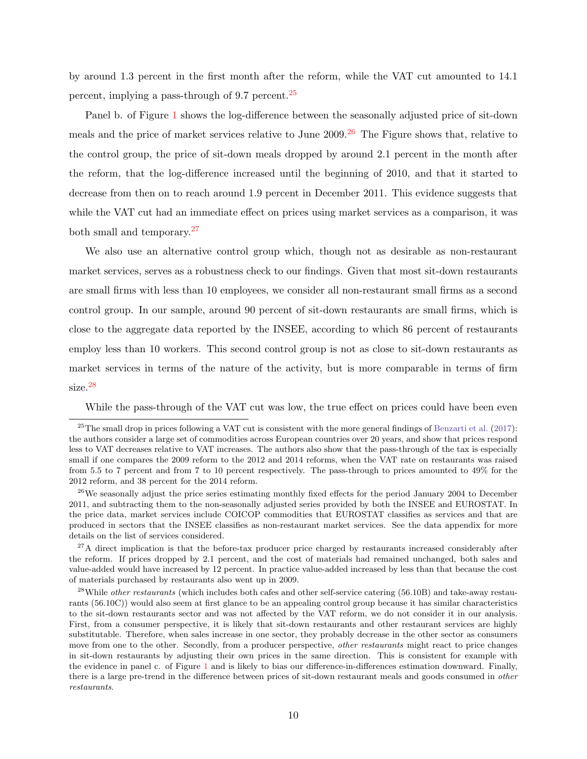by around 1.3 percent in the first month after the reform, while the VAT cut amounted to 14.1 percent, implying a pass-through of  $9.7$  percent.<sup>[25](#page-11-0)</sup>

Panel b. of Figure [1](#page-25-0) shows the log-difference between the seasonally adjusted price of sit-down meals and the price of market services relative to June  $2009$ .<sup>[26](#page-11-1)</sup> The Figure shows that, relative to the control group, the price of sit-down meals dropped by around 2.1 percent in the month after the reform, that the log-difference increased until the beginning of 2010, and that it started to decrease from then on to reach around 1.9 percent in December 2011. This evidence suggests that while the VAT cut had an immediate effect on prices using market services as a comparison, it was both small and temporary.[27](#page-11-2)

We also use an alternative control group which, though not as desirable as non-restaurant market services, serves as a robustness check to our findings. Given that most sit-down restaurants are small firms with less than 10 employees, we consider all non-restaurant small firms as a second control group. In our sample, around 90 percent of sit-down restaurants are small firms, which is close to the aggregate data reported by the INSEE, according to which 86 percent of restaurants employ less than 10 workers. This second control group is not as close to sit-down restaurants as market services in terms of the nature of the activity, but is more comparable in terms of firm size.[28](#page-11-3)

While the pass-through of the VAT cut was low, the true effect on prices could have been even

<span id="page-11-0"></span> $^{25}$ The small drop in prices following a VAT cut is consistent with the more general findings of [Benzarti et al.](#page-23-5) [\(2017\)](#page-23-5): the authors consider a large set of commodities across European countries over 20 years, and show that prices respond less to VAT decreases relative to VAT increases. The authors also show that the pass-through of the tax is especially small if one compares the 2009 reform to the 2012 and 2014 reforms, when the VAT rate on restaurants was raised from 5.5 to 7 percent and from 7 to 10 percent respectively. The pass-through to prices amounted to 49% for the 2012 reform, and 38 percent for the 2014 reform.

<span id="page-11-1"></span><sup>&</sup>lt;sup>26</sup>We seasonally adjust the price series estimating monthly fixed effects for the period January 2004 to December 2011, and subtracting them to the non-seasonally adjusted series provided by both the INSEE and EUROSTAT. In the price data, market services include COICOP commodities that EUROSTAT classifies as services and that are produced in sectors that the INSEE classifies as non-restaurant market services. See the data appendix for more details on the list of services considered.

<span id="page-11-2"></span> $27A$  direct implication is that the before-tax producer price charged by restaurants increased considerably after the reform. If prices dropped by 2.1 percent, and the cost of materials had remained unchanged, both sales and value-added would have increased by 12 percent. In practice value-added increased by less than that because the cost of materials purchased by restaurants also went up in 2009.

<span id="page-11-3"></span> $^{28}$ While *other restaurants* (which includes both cafes and other self-service catering (56.10B) and take-away restaurants (56.10C)) would also seem at first glance to be an appealing control group because it has similar characteristics to the sit-down restaurants sector and was not affected by the VAT reform, we do not consider it in our analysis. First, from a consumer perspective, it is likely that sit-down restaurants and other restaurant services are highly substitutable. Therefore, when sales increase in one sector, they probably decrease in the other sector as consumers move from one to the other. Secondly, from a producer perspective, *other restaurants* might react to price changes in sit-down restaurants by adjusting their own prices in the same direction. This is consistent for example with the evidence in panel c. of Figure [1](#page-25-0) and is likely to bias our difference-in-differences estimation downward. Finally, there is a large pre-trend in the difference between prices of sit-down restaurant meals and goods consumed in other restaurants.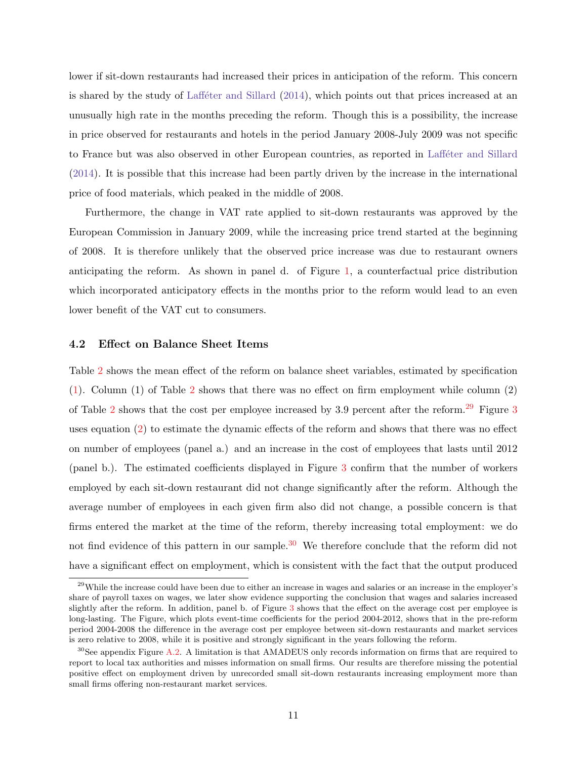lower if sit-down restaurants had increased their prices in anticipation of the reform. This concern is shared by the study of Laff $\acute{e}$ ter and Sillard [\(2014\)](#page-24-6), which points out that prices increased at an unusually high rate in the months preceding the reform. Though this is a possibility, the increase in price observed for restaurants and hotels in the period January 2008-July 2009 was not specific to France but was also observed in other European countries, as reported in Laffeter and Sillard [\(2014\)](#page-24-6). It is possible that this increase had been partly driven by the increase in the international price of food materials, which peaked in the middle of 2008.

Furthermore, the change in VAT rate applied to sit-down restaurants was approved by the European Commission in January 2009, while the increasing price trend started at the beginning of 2008. It is therefore unlikely that the observed price increase was due to restaurant owners anticipating the reform. As shown in panel d. of Figure [1,](#page-25-0) a counterfactual price distribution which incorporated anticipatory effects in the months prior to the reform would lead to an even lower benefit of the VAT cut to consumers.

#### 4.2 Effect on Balance Sheet Items

Table [2](#page-33-1) shows the mean effect of the reform on balance sheet variables, estimated by specification [\(1\)](#page-8-2). Column (1) of Table [2](#page-33-1) shows that there was no effect on firm employment while column (2) of Table [2](#page-33-1) shows that the cost per employee increased by 3.9 percent after the reform.<sup>[29](#page-12-0)</sup> Figure [3](#page-27-0) uses equation [\(2\)](#page-10-0) to estimate the dynamic effects of the reform and shows that there was no effect on number of employees (panel a.) and an increase in the cost of employees that lasts until 2012 (panel b.). The estimated coefficients displayed in Figure [3](#page-27-0) confirm that the number of workers employed by each sit-down restaurant did not change significantly after the reform. Although the average number of employees in each given firm also did not change, a possible concern is that firms entered the market at the time of the reform, thereby increasing total employment: we do not find evidence of this pattern in our sample.<sup>[30](#page-12-1)</sup> We therefore conclude that the reform did not have a significant effect on employment, which is consistent with the fact that the output produced

<span id="page-12-0"></span><sup>&</sup>lt;sup>29</sup>While the increase could have been due to either an increase in wages and salaries or an increase in the employer's share of payroll taxes on wages, we later show evidence supporting the conclusion that wages and salaries increased slightly after the reform. In addition, panel b. of Figure [3](#page-27-0) shows that the effect on the average cost per employee is long-lasting. The Figure, which plots event-time coefficients for the period 2004-2012, shows that in the pre-reform period 2004-2008 the difference in the average cost per employee between sit-down restaurants and market services is zero relative to 2008, while it is positive and strongly significant in the years following the reform.

<span id="page-12-1"></span> $30$ See appendix Figure [A.2.](#page-46-0) A limitation is that AMADEUS only records information on firms that are required to report to local tax authorities and misses information on small firms. Our results are therefore missing the potential positive effect on employment driven by unrecorded small sit-down restaurants increasing employment more than small firms offering non-restaurant market services.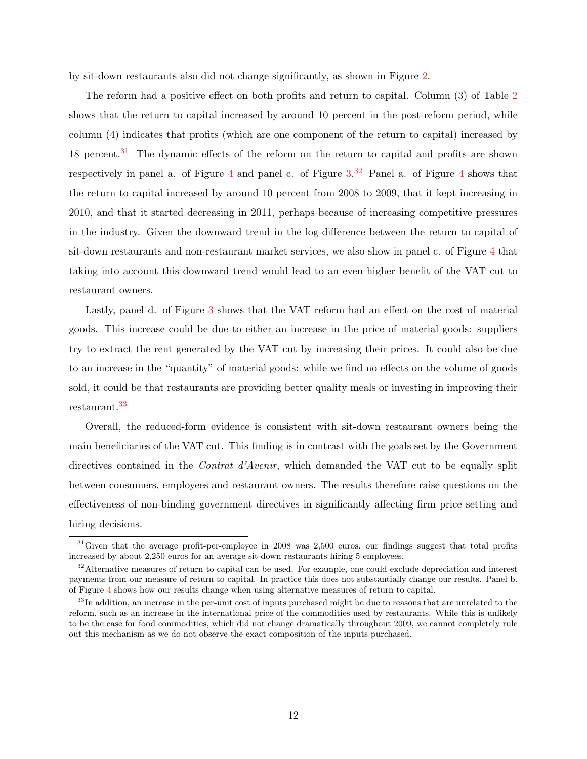by sit-down restaurants also did not change significantly, as shown in Figure [2.](#page-26-0)

The reform had a positive effect on both profits and return to capital. Column (3) of Table [2](#page-33-1) shows that the return to capital increased by around 10 percent in the post-reform period, while column (4) indicates that profits (which are one component of the return to capital) increased by 18 percent.<sup>[31](#page-13-0)</sup> The dynamic effects of the reform on the return to capital and profits are shown respectively in panel a. of Figure [4](#page-28-0) and panel c. of Figure  $3.32$  $3.32$  Panel a. of Figure 4 shows that the return to capital increased by around 10 percent from 2008 to 2009, that it kept increasing in 2010, and that it started decreasing in 2011, perhaps because of increasing competitive pressures in the industry. Given the downward trend in the log-difference between the return to capital of sit-down restaurants and non-restaurant market services, we also show in panel c. of Figure [4](#page-28-0) that taking into account this downward trend would lead to an even higher benefit of the VAT cut to restaurant owners.

Lastly, panel d. of Figure [3](#page-27-0) shows that the VAT reform had an effect on the cost of material goods. This increase could be due to either an increase in the price of material goods: suppliers try to extract the rent generated by the VAT cut by increasing their prices. It could also be due to an increase in the "quantity" of material goods: while we find no effects on the volume of goods sold, it could be that restaurants are providing better quality meals or investing in improving their restaurant.[33](#page-13-2)

Overall, the reduced-form evidence is consistent with sit-down restaurant owners being the main beneficiaries of the VAT cut. This finding is in contrast with the goals set by the Government directives contained in the *Contrat d'Avenir*, which demanded the VAT cut to be equally split between consumers, employees and restaurant owners. The results therefore raise questions on the effectiveness of non-binding government directives in significantly affecting firm price setting and hiring decisions.

<span id="page-13-0"></span> $31$  Given that the average profit-per-employee in 2008 was 2,500 euros, our findings suggest that total profits increased by about 2,250 euros for an average sit-down restaurants hiring 5 employees.

<span id="page-13-1"></span> $32$ Alternative measures of return to capital can be used. For example, one could exclude depreciation and interest payments from our measure of return to capital. In practice this does not substantially change our results. Panel b. of Figure [4](#page-28-0) shows how our results change when using alternative measures of return to capital.

<span id="page-13-2"></span><sup>&</sup>lt;sup>33</sup>In addition, an increase in the per-unit cost of inputs purchased might be due to reasons that are unrelated to the reform, such as an increase in the international price of the commodities used by restaurants. While this is unlikely to be the case for food commodities, which did not change dramatically throughout 2009, we cannot completely rule out this mechanism as we do not observe the exact composition of the inputs purchased.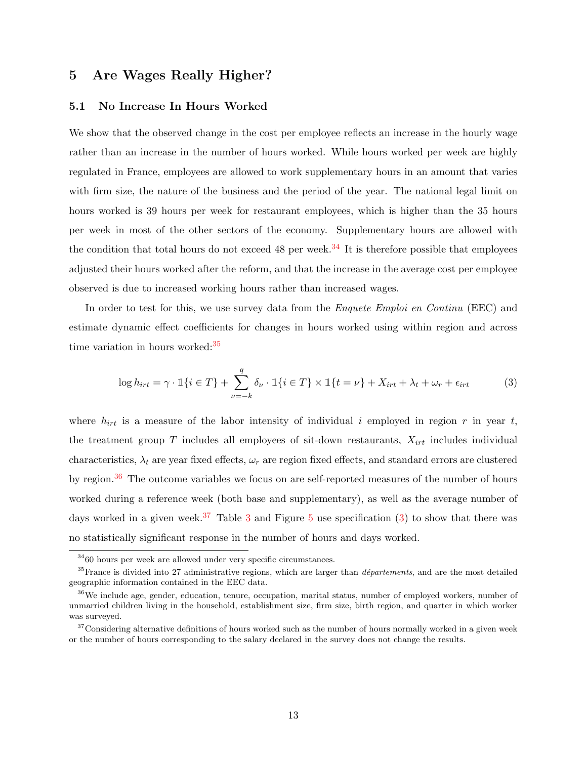# <span id="page-14-0"></span>5 Are Wages Really Higher?

#### 5.1 No Increase In Hours Worked

We show that the observed change in the cost per employee reflects an increase in the hourly wage rather than an increase in the number of hours worked. While hours worked per week are highly regulated in France, employees are allowed to work supplementary hours in an amount that varies with firm size, the nature of the business and the period of the year. The national legal limit on hours worked is 39 hours per week for restaurant employees, which is higher than the 35 hours per week in most of the other sectors of the economy. Supplementary hours are allowed with the condition that total hours do not exceed 48 per week.<sup>[34](#page-14-1)</sup> It is therefore possible that employees adjusted their hours worked after the reform, and that the increase in the average cost per employee observed is due to increased working hours rather than increased wages.

In order to test for this, we use survey data from the *Enquete Emploi en Continu* (EEC) and estimate dynamic effect coefficients for changes in hours worked using within region and across time variation in hours worked: $35$ 

<span id="page-14-5"></span>
$$
\log h_{irt} = \gamma \cdot \mathbb{1}\{i \in T\} + \sum_{\nu=-k}^{q} \delta_{\nu} \cdot \mathbb{1}\{i \in T\} \times \mathbb{1}\{t = \nu\} + X_{irt} + \lambda_t + \omega_r + \epsilon_{irt}
$$
(3)

where  $h_{irt}$  is a measure of the labor intensity of individual i employed in region r in year t, the treatment group  $T$  includes all employees of sit-down restaurants,  $X_{irt}$  includes individual characteristics,  $\lambda_t$  are year fixed effects,  $\omega_r$  are region fixed effects, and standard errors are clustered by region.<sup>[36](#page-14-3)</sup> The outcome variables we focus on are self-reported measures of the number of hours worked during a reference week (both base and supplementary), as well as the average number of days worked in a given week.<sup>[37](#page-14-4)</sup> Table [3](#page-34-0) and Figure [5](#page-29-0) use specification [\(3\)](#page-14-5) to show that there was no statistically significant response in the number of hours and days worked.

<span id="page-14-2"></span><span id="page-14-1"></span><sup>34</sup>60 hours per week are allowed under very specific circumstances.

 $35$  France is divided into 27 administrative regions, which are larger than *départements*, and are the most detailed geographic information contained in the EEC data.

<span id="page-14-3"></span><sup>&</sup>lt;sup>36</sup>We include age, gender, education, tenure, occupation, marital status, number of employed workers, number of unmarried children living in the household, establishment size, firm size, birth region, and quarter in which worker was surveyed.

<span id="page-14-4"></span> $37$ Considering alternative definitions of hours worked such as the number of hours normally worked in a given week or the number of hours corresponding to the salary declared in the survey does not change the results.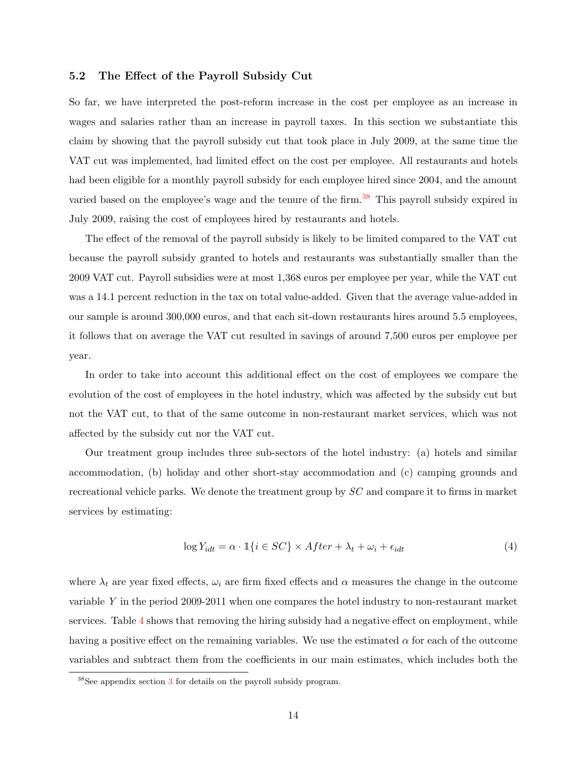## 5.2 The Effect of the Payroll Subsidy Cut

So far, we have interpreted the post-reform increase in the cost per employee as an increase in wages and salaries rather than an increase in payroll taxes. In this section we substantiate this claim by showing that the payroll subsidy cut that took place in July 2009, at the same time the VAT cut was implemented, had limited effect on the cost per employee. All restaurants and hotels had been eligible for a monthly payroll subsidy for each employee hired since 2004, and the amount varied based on the employee's wage and the tenure of the firm.<sup>[38](#page-15-0)</sup> This payroll subsidy expired in July 2009, raising the cost of employees hired by restaurants and hotels.

The effect of the removal of the payroll subsidy is likely to be limited compared to the VAT cut because the payroll subsidy granted to hotels and restaurants was substantially smaller than the 2009 VAT cut. Payroll subsidies were at most 1,368 euros per employee per year, while the VAT cut was a 14.1 percent reduction in the tax on total value-added. Given that the average value-added in our sample is around 300,000 euros, and that each sit-down restaurants hires around 5.5 employees, it follows that on average the VAT cut resulted in savings of around 7,500 euros per employee per year.

In order to take into account this additional effect on the cost of employees we compare the evolution of the cost of employees in the hotel industry, which was affected by the subsidy cut but not the VAT cut, to that of the same outcome in non-restaurant market services, which was not affected by the subsidy cut nor the VAT cut.

Our treatment group includes three sub-sectors of the hotel industry: (a) hotels and similar accommodation, (b) holiday and other short-stay accommodation and (c) camping grounds and recreational vehicle parks. We denote the treatment group by SC and compare it to firms in market services by estimating:

$$
\log Y_{idt} = \alpha \cdot \mathbb{1}\{i \in SC\} \times After + \lambda_t + \omega_i + \epsilon_{idt} \tag{4}
$$

where  $\lambda_t$  are year fixed effects,  $\omega_i$  are firm fixed effects and  $\alpha$  measures the change in the outcome variable Y in the period 2009-2011 when one compares the hotel industry to non-restaurant market services. Table [4](#page-34-1) shows that removing the hiring subsidy had a negative effect on employment, while having a positive effect on the remaining variables. We use the estimated  $\alpha$  for each of the outcome variables and subtract them from the coefficients in our main estimates, which includes both the

<span id="page-15-0"></span> $38$  $38$ See appendix section 3 for details on the payroll subsidy program.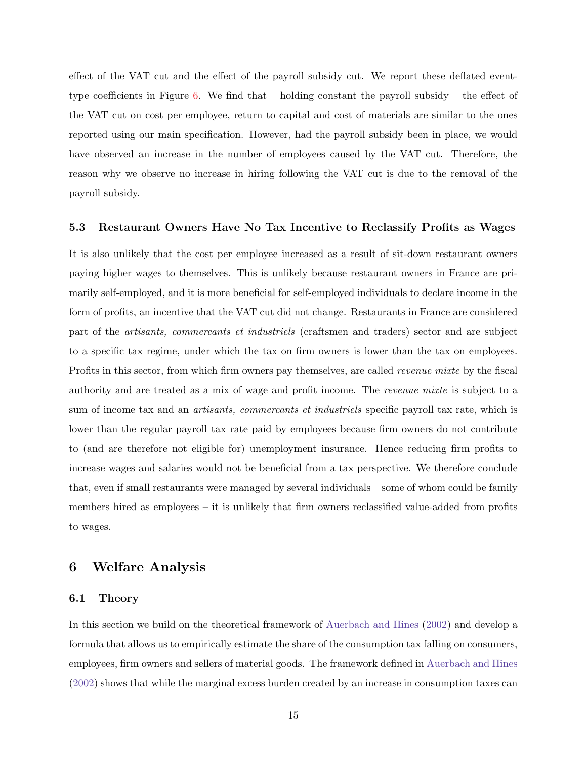effect of the VAT cut and the effect of the payroll subsidy cut. We report these deflated event-type coefficients in Figure [6.](#page-30-0) We find that – holding constant the payroll subsidy – the effect of the VAT cut on cost per employee, return to capital and cost of materials are similar to the ones reported using our main specification. However, had the payroll subsidy been in place, we would have observed an increase in the number of employees caused by the VAT cut. Therefore, the reason why we observe no increase in hiring following the VAT cut is due to the removal of the payroll subsidy.

#### 5.3 Restaurant Owners Have No Tax Incentive to Reclassify Profits as Wages

It is also unlikely that the cost per employee increased as a result of sit-down restaurant owners paying higher wages to themselves. This is unlikely because restaurant owners in France are primarily self-employed, and it is more beneficial for self-employed individuals to declare income in the form of profits, an incentive that the VAT cut did not change. Restaurants in France are considered part of the artisants, commercants et industriels (craftsmen and traders) sector and are subject to a specific tax regime, under which the tax on firm owners is lower than the tax on employees. Profits in this sector, from which firm owners pay themselves, are called *revenue mixte* by the fiscal authority and are treated as a mix of wage and profit income. The revenue mixte is subject to a sum of income tax and an *artisants, commercants et industriels* specific payroll tax rate, which is lower than the regular payroll tax rate paid by employees because firm owners do not contribute to (and are therefore not eligible for) unemployment insurance. Hence reducing firm profits to increase wages and salaries would not be beneficial from a tax perspective. We therefore conclude that, even if small restaurants were managed by several individuals – some of whom could be family members hired as employees – it is unlikely that firm owners reclassified value-added from profits to wages.

## 6 Welfare Analysis

### 6.1 Theory

In this section we build on the theoretical framework of [Auerbach and Hines](#page-23-3) [\(2002\)](#page-23-3) and develop a formula that allows us to empirically estimate the share of the consumption tax falling on consumers, employees, firm owners and sellers of material goods. The framework defined in [Auerbach and Hines](#page-23-3) [\(2002\)](#page-23-3) shows that while the marginal excess burden created by an increase in consumption taxes can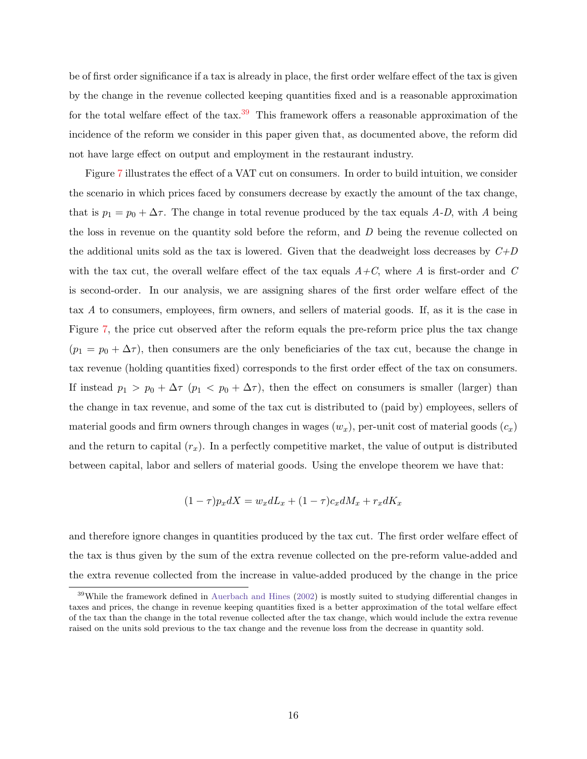be of first order significance if a tax is already in place, the first order welfare effect of the tax is given by the change in the revenue collected keeping quantities fixed and is a reasonable approximation for the total welfare effect of the tax.<sup>[39](#page-17-0)</sup> This framework offers a reasonable approximation of the incidence of the reform we consider in this paper given that, as documented above, the reform did not have large effect on output and employment in the restaurant industry.

Figure [7](#page-31-0) illustrates the effect of a VAT cut on consumers. In order to build intuition, we consider the scenario in which prices faced by consumers decrease by exactly the amount of the tax change, that is  $p_1 = p_0 + \Delta \tau$ . The change in total revenue produced by the tax equals A-D, with A being the loss in revenue on the quantity sold before the reform, and  $D$  being the revenue collected on the additional units sold as the tax is lowered. Given that the deadweight loss decreases by  $C+D$ with the tax cut, the overall welfare effect of the tax equals  $A+C$ , where A is first-order and C is second-order. In our analysis, we are assigning shares of the first order welfare effect of the tax A to consumers, employees, firm owners, and sellers of material goods. If, as it is the case in Figure [7,](#page-31-0) the price cut observed after the reform equals the pre-reform price plus the tax change  $(p_1 = p_0 + \Delta \tau)$ , then consumers are the only beneficiaries of the tax cut, because the change in tax revenue (holding quantities fixed) corresponds to the first order effect of the tax on consumers. If instead  $p_1 > p_0 + \Delta \tau$   $(p_1 < p_0 + \Delta \tau)$ , then the effect on consumers is smaller (larger) than the change in tax revenue, and some of the tax cut is distributed to (paid by) employees, sellers of material goods and firm owners through changes in wages  $(w_x)$ , per-unit cost of material goods  $(c_x)$ and the return to capital  $(r_x)$ . In a perfectly competitive market, the value of output is distributed between capital, labor and sellers of material goods. Using the envelope theorem we have that:

$$
(1 - \tau)p_x dX = w_x dL_x + (1 - \tau)c_x dM_x + r_x dK_x
$$

and therefore ignore changes in quantities produced by the tax cut. The first order welfare effect of the tax is thus given by the sum of the extra revenue collected on the pre-reform value-added and the extra revenue collected from the increase in value-added produced by the change in the price

<span id="page-17-0"></span><sup>&</sup>lt;sup>39</sup>While the framework defined in [Auerbach and Hines](#page-23-3) [\(2002\)](#page-23-3) is mostly suited to studying differential changes in taxes and prices, the change in revenue keeping quantities fixed is a better approximation of the total welfare effect of the tax than the change in the total revenue collected after the tax change, which would include the extra revenue raised on the units sold previous to the tax change and the revenue loss from the decrease in quantity sold.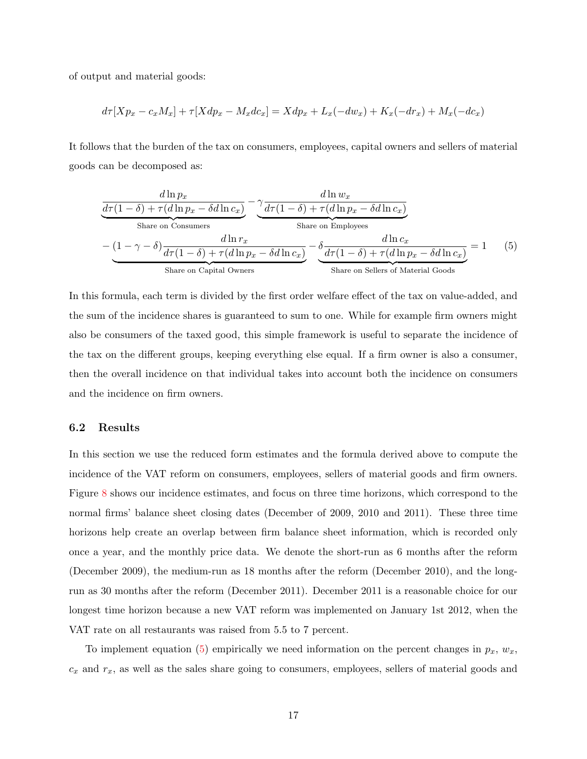of output and material goods:

$$
d\tau[Xp_x - c_x M_x] + \tau[Xdp_x - M_x dc_x] = Xdp_x + L_x(-dw_x) + K_x(-dr_x) + M_x(-dc_x)
$$

It follows that the burden of the tax on consumers, employees, capital owners and sellers of material goods can be decomposed as:

<span id="page-18-0"></span>
$$
\frac{d\ln p_x}{d\tau(1-\delta) + \tau(d\ln p_x - \delta d\ln c_x)} - \underbrace{\gamma \frac{d\ln w_x}{d\tau(1-\delta) + \tau(d\ln p_x - \delta d\ln c_x)}}_{\text{Share on Consumers}} - \underbrace{\gamma \frac{d\ln w_x}{d\tau(1-\delta) + \tau(d\ln p_x - \delta d\ln c_x)}}_{\text{Share on Employees}} - \underbrace{\delta \frac{d\ln c_x}{d\tau(1-\delta) + \tau(d\ln p_x - \delta d\ln c_x)}}_{\text{Share on Capital Owners}} = 1 \qquad (5)
$$

In this formula, each term is divided by the first order welfare effect of the tax on value-added, and the sum of the incidence shares is guaranteed to sum to one. While for example firm owners might also be consumers of the taxed good, this simple framework is useful to separate the incidence of the tax on the different groups, keeping everything else equal. If a firm owner is also a consumer, then the overall incidence on that individual takes into account both the incidence on consumers and the incidence on firm owners.

#### 6.2 Results

In this section we use the reduced form estimates and the formula derived above to compute the incidence of the VAT reform on consumers, employees, sellers of material goods and firm owners. Figure [8](#page-31-1) shows our incidence estimates, and focus on three time horizons, which correspond to the normal firms' balance sheet closing dates (December of 2009, 2010 and 2011). These three time horizons help create an overlap between firm balance sheet information, which is recorded only once a year, and the monthly price data. We denote the short-run as 6 months after the reform (December 2009), the medium-run as 18 months after the reform (December 2010), and the longrun as 30 months after the reform (December 2011). December 2011 is a reasonable choice for our longest time horizon because a new VAT reform was implemented on January 1st 2012, when the VAT rate on all restaurants was raised from 5.5 to 7 percent.

To implement equation [\(5\)](#page-18-0) empirically we need information on the percent changes in  $p_x$ ,  $w_x$ ,  $c_x$  and  $r_x$ , as well as the sales share going to consumers, employees, sellers of material goods and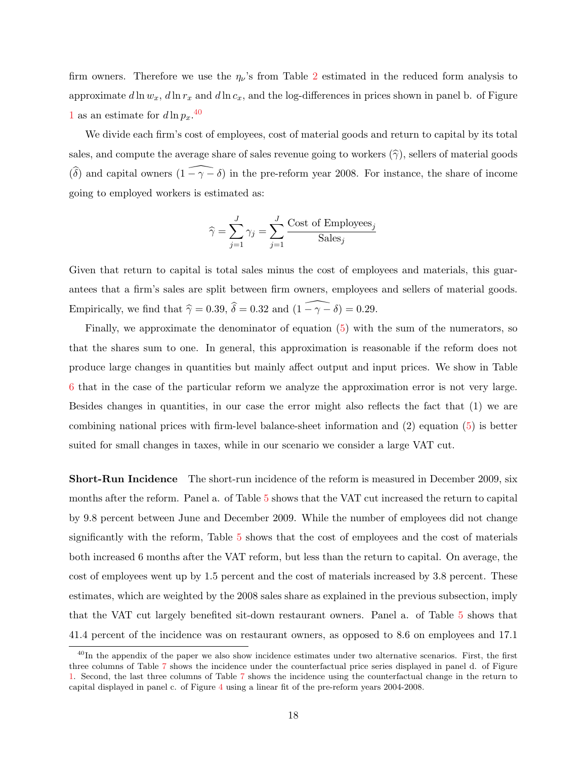firm owners. Therefore we use the  $\eta_{\nu}$ 's from Table [2](#page-33-1) estimated in the reduced form analysis to approximate  $d \ln w_x$ ,  $d \ln r_x$  and  $d \ln c_x$ , and the log-differences in prices shown in panel b. of Figure [1](#page-25-0) as an estimate for  $d\ln p_x$ .<sup>[40](#page-19-0)</sup>

We divide each firm's cost of employees, cost of material goods and return to capital by its total sales, and compute the average share of sales revenue going to workers  $(\hat{\gamma})$ , sellers of material goods  $(\widehat{\delta})$  and capital owners  $(1 - \gamma - \delta)$  in the pre-reform year 2008. For instance, the share of income going to employed workers is estimated as:

$$
\widehat{\gamma} = \sum_{j=1}^{J} \gamma_j = \sum_{j=1}^{J} \frac{\text{Cost of Employes}_j}{\text{Sales}_j}
$$

Given that return to capital is total sales minus the cost of employees and materials, this guarantees that a firm's sales are split between firm owners, employees and sellers of material goods. Empirically, we find that  $\hat{\gamma} = 0.39, \hat{\delta} = 0.32$  and  $(1 - \gamma - \delta) = 0.29$ .

Finally, we approximate the denominator of equation [\(5\)](#page-18-0) with the sum of the numerators, so that the shares sum to one. In general, this approximation is reasonable if the reform does not produce large changes in quantities but mainly affect output and input prices. We show in Table [6](#page-35-0) that in the case of the particular reform we analyze the approximation error is not very large. Besides changes in quantities, in our case the error might also reflects the fact that (1) we are combining national prices with firm-level balance-sheet information and (2) equation [\(5\)](#page-18-0) is better suited for small changes in taxes, while in our scenario we consider a large VAT cut.

Short-Run Incidence The short-run incidence of the reform is measured in December 2009, six months after the reform. Panel a. of Table [5](#page-35-1) shows that the VAT cut increased the return to capital by 9.8 percent between June and December 2009. While the number of employees did not change significantly with the reform, Table [5](#page-35-1) shows that the cost of employees and the cost of materials both increased 6 months after the VAT reform, but less than the return to capital. On average, the cost of employees went up by 1.5 percent and the cost of materials increased by 3.8 percent. These estimates, which are weighted by the 2008 sales share as explained in the previous subsection, imply that the VAT cut largely benefited sit-down restaurant owners. Panel a. of Table [5](#page-35-1) shows that 41.4 percent of the incidence was on restaurant owners, as opposed to 8.6 on employees and 17.1

<span id="page-19-0"></span> $^{40}$ In the appendix of the paper we also show incidence estimates under two alternative scenarios. First, the first three columns of Table [7](#page-36-0) shows the incidence under the counterfactual price series displayed in panel d. of Figure [1.](#page-25-0) Second, the last three columns of Table [7](#page-36-0) shows the incidence using the counterfactual change in the return to capital displayed in panel c. of Figure [4](#page-28-0) using a linear fit of the pre-reform years 2004-2008.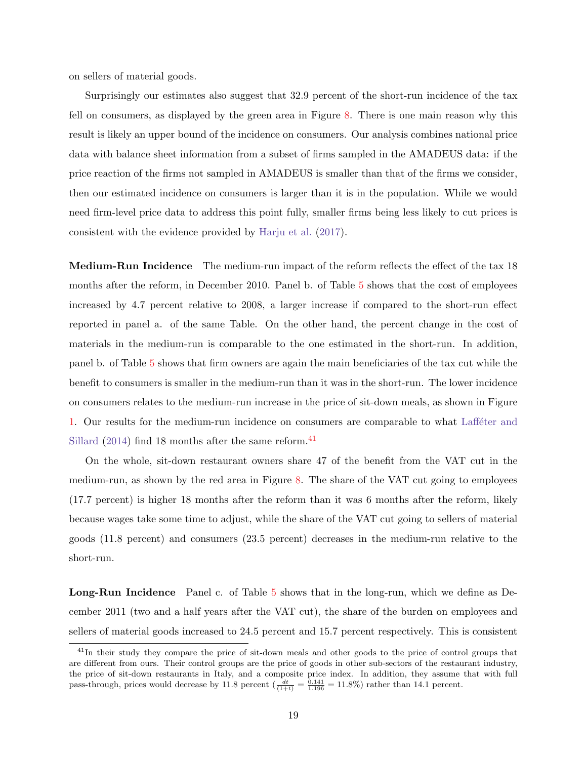on sellers of material goods.

Surprisingly our estimates also suggest that 32.9 percent of the short-run incidence of the tax fell on consumers, as displayed by the green area in Figure [8.](#page-31-1) There is one main reason why this result is likely an upper bound of the incidence on consumers. Our analysis combines national price data with balance sheet information from a subset of firms sampled in the AMADEUS data: if the price reaction of the firms not sampled in AMADEUS is smaller than that of the firms we consider, then our estimated incidence on consumers is larger than it is in the population. While we would need firm-level price data to address this point fully, smaller firms being less likely to cut prices is consistent with the evidence provided by [Harju et al.](#page-24-12) [\(2017\)](#page-24-12).

Medium-Run Incidence The medium-run impact of the reform reflects the effect of the tax 18 months after the reform, in December 2010. Panel b. of Table [5](#page-35-1) shows that the cost of employees increased by 4.7 percent relative to 2008, a larger increase if compared to the short-run effect reported in panel a. of the same Table. On the other hand, the percent change in the cost of materials in the medium-run is comparable to the one estimated in the short-run. In addition, panel b. of Table [5](#page-35-1) shows that firm owners are again the main beneficiaries of the tax cut while the benefit to consumers is smaller in the medium-run than it was in the short-run. The lower incidence on consumers relates to the medium-run increase in the price of sit-down meals, as shown in Figure [1.](#page-25-0) Our results for the medium-run incidence on consumers are comparable to what Laffeter and [Sillard](#page-24-6)  $(2014)$  find 18 months after the same reform.<sup>[41](#page-20-0)</sup>

On the whole, sit-down restaurant owners share 47 of the benefit from the VAT cut in the medium-run, as shown by the red area in Figure [8.](#page-31-1) The share of the VAT cut going to employees (17.7 percent) is higher 18 months after the reform than it was 6 months after the reform, likely because wages take some time to adjust, while the share of the VAT cut going to sellers of material goods (11.8 percent) and consumers (23.5 percent) decreases in the medium-run relative to the short-run.

Long-Run Incidence Panel c. of Table [5](#page-35-1) shows that in the long-run, which we define as December 2011 (two and a half years after the VAT cut), the share of the burden on employees and sellers of material goods increased to 24.5 percent and 15.7 percent respectively. This is consistent

<span id="page-20-0"></span><sup>&</sup>lt;sup>41</sup>In their study they compare the price of sit-down meals and other goods to the price of control groups that are different from ours. Their control groups are the price of goods in other sub-sectors of the restaurant industry, the price of sit-down restaurants in Italy, and a composite price index. In addition, they assume that with full pass-through, prices would decrease by 11.8 percent  $\left(\frac{dt}{(1+t)} = \frac{0.141}{1.196} = 11.8\% \right)$  rather than 14.1 percent.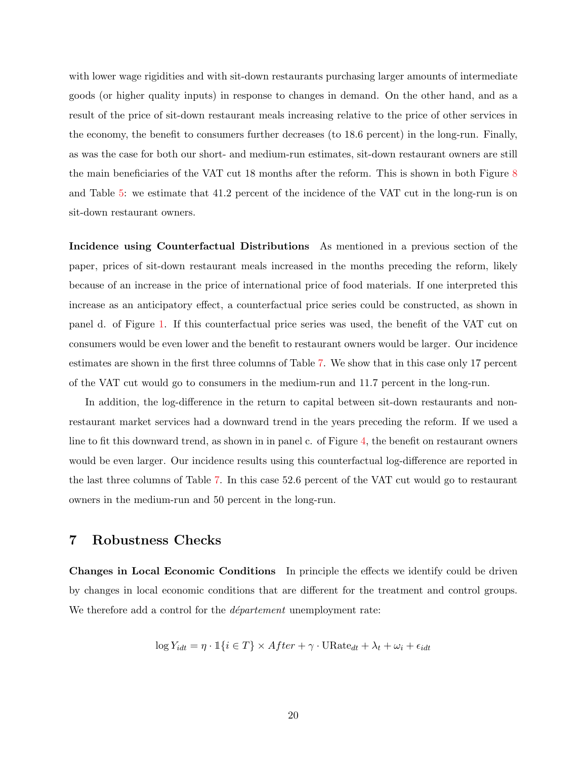with lower wage rigidities and with sit-down restaurants purchasing larger amounts of intermediate goods (or higher quality inputs) in response to changes in demand. On the other hand, and as a result of the price of sit-down restaurant meals increasing relative to the price of other services in the economy, the benefit to consumers further decreases (to 18.6 percent) in the long-run. Finally, as was the case for both our short- and medium-run estimates, sit-down restaurant owners are still the main beneficiaries of the VAT cut 18 months after the reform. This is shown in both Figure [8](#page-31-1) and Table [5:](#page-35-1) we estimate that 41.2 percent of the incidence of the VAT cut in the long-run is on sit-down restaurant owners.

Incidence using Counterfactual Distributions As mentioned in a previous section of the paper, prices of sit-down restaurant meals increased in the months preceding the reform, likely because of an increase in the price of international price of food materials. If one interpreted this increase as an anticipatory effect, a counterfactual price series could be constructed, as shown in panel d. of Figure [1.](#page-25-0) If this counterfactual price series was used, the benefit of the VAT cut on consumers would be even lower and the benefit to restaurant owners would be larger. Our incidence estimates are shown in the first three columns of Table [7.](#page-36-0) We show that in this case only 17 percent of the VAT cut would go to consumers in the medium-run and 11.7 percent in the long-run.

In addition, the log-difference in the return to capital between sit-down restaurants and nonrestaurant market services had a downward trend in the years preceding the reform. If we used a line to fit this downward trend, as shown in in panel c. of Figure [4,](#page-28-0) the benefit on restaurant owners would be even larger. Our incidence results using this counterfactual log-difference are reported in the last three columns of Table [7.](#page-36-0) In this case 52.6 percent of the VAT cut would go to restaurant owners in the medium-run and 50 percent in the long-run.

## 7 Robustness Checks

Changes in Local Economic Conditions In principle the effects we identify could be driven by changes in local economic conditions that are different for the treatment and control groups. We therefore add a control for the *département* unemployment rate:

$$
\log Y_{idt} = \eta \cdot \mathbb{1}\{i \in T\} \times After + \gamma \cdot \text{URate}_{dt} + \lambda_t + \omega_i + \epsilon_{idt}
$$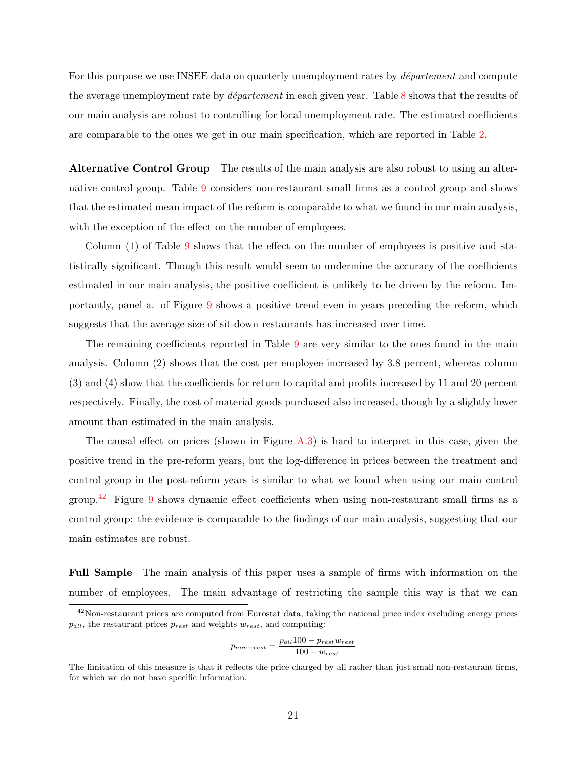For this purpose we use INSEE data on quarterly unemployment rates by *département* and compute the average unemployment rate by *département* in each given year. Table [8](#page-37-0) shows that the results of our main analysis are robust to controlling for local unemployment rate. The estimated coefficients are comparable to the ones we get in our main specification, which are reported in Table [2.](#page-33-1)

Alternative Control Group The results of the main analysis are also robust to using an alternative control group. Table [9](#page-37-1) considers non-restaurant small firms as a control group and shows that the estimated mean impact of the reform is comparable to what we found in our main analysis, with the exception of the effect on the number of employees.

Column (1) of Table [9](#page-37-1) shows that the effect on the number of employees is positive and statistically significant. Though this result would seem to undermine the accuracy of the coefficients estimated in our main analysis, the positive coefficient is unlikely to be driven by the reform. Importantly, panel a. of Figure [9](#page-32-0) shows a positive trend even in years preceding the reform, which suggests that the average size of sit-down restaurants has increased over time.

The remaining coefficients reported in Table [9](#page-37-1) are very similar to the ones found in the main analysis. Column (2) shows that the cost per employee increased by 3.8 percent, whereas column (3) and (4) show that the coefficients for return to capital and profits increased by 11 and 20 percent respectively. Finally, the cost of material goods purchased also increased, though by a slightly lower amount than estimated in the main analysis.

The causal effect on prices (shown in Figure [A.3\)](#page-47-0) is hard to interpret in this case, given the positive trend in the pre-reform years, but the log-difference in prices between the treatment and control group in the post-reform years is similar to what we found when using our main control group.<sup>[42](#page-22-0)</sup> Figure [9](#page-32-0) shows dynamic effect coefficients when using non-restaurant small firms as a control group: the evidence is comparable to the findings of our main analysis, suggesting that our main estimates are robust.

Full Sample The main analysis of this paper uses a sample of firms with information on the number of employees. The main advantage of restricting the sample this way is that we can

$$
p_{non-rest} = \frac{p_{all}100 - p_{rest}w_{rest}}{100 - w_{rest}}
$$

<span id="page-22-0"></span> $42$ Non-restaurant prices are computed from Eurostat data, taking the national price index excluding energy prices  $p_{all}$ , the restaurant prices  $p_{rest}$  and weights  $w_{rest}$ , and computing:

The limitation of this measure is that it reflects the price charged by all rather than just small non-restaurant firms, for which we do not have specific information.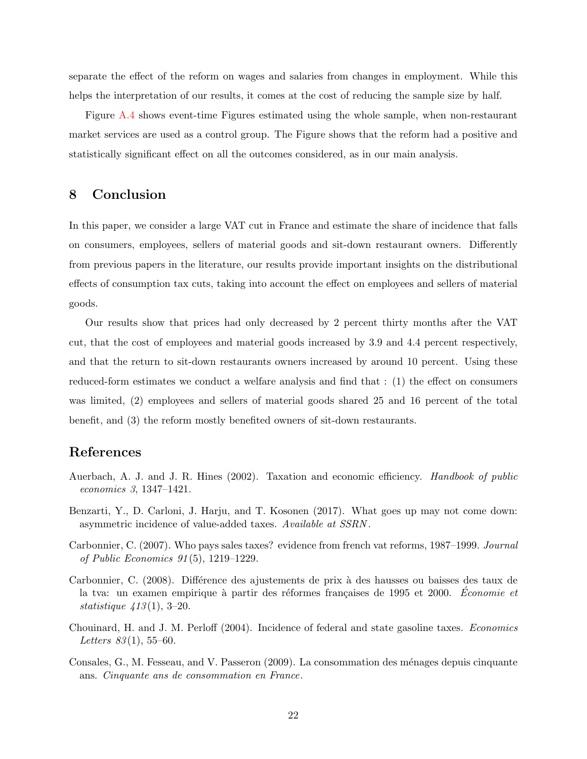separate the effect of the reform on wages and salaries from changes in employment. While this helps the interpretation of our results, it comes at the cost of reducing the sample size by half.

Figure [A.4](#page-48-0) shows event-time Figures estimated using the whole sample, when non-restaurant market services are used as a control group. The Figure shows that the reform had a positive and statistically significant effect on all the outcomes considered, as in our main analysis.

# 8 Conclusion

In this paper, we consider a large VAT cut in France and estimate the share of incidence that falls on consumers, employees, sellers of material goods and sit-down restaurant owners. Differently from previous papers in the literature, our results provide important insights on the distributional effects of consumption tax cuts, taking into account the effect on employees and sellers of material goods.

Our results show that prices had only decreased by 2 percent thirty months after the VAT cut, that the cost of employees and material goods increased by 3.9 and 4.4 percent respectively, and that the return to sit-down restaurants owners increased by around 10 percent. Using these reduced-form estimates we conduct a welfare analysis and find that : (1) the effect on consumers was limited, (2) employees and sellers of material goods shared 25 and 16 percent of the total benefit, and (3) the reform mostly benefited owners of sit-down restaurants.

# References

- <span id="page-23-3"></span>Auerbach, A. J. and J. R. Hines (2002). Taxation and economic efficiency. *Handbook of public* economics 3, 1347–1421.
- <span id="page-23-5"></span>Benzarti, Y., D. Carloni, J. Harju, and T. Kosonen (2017). What goes up may not come down: asymmetric incidence of value-added taxes. Available at SSRN .
- <span id="page-23-0"></span>Carbonnier, C. (2007). Who pays sales taxes? evidence from french vat reforms, 1987–1999. Journal of Public Economics 91 (5), 1219–1229.
- <span id="page-23-1"></span>Carbonnier, C. (2008). Différence des ajustements de prix à des hausses ou baisses des taux de la tva: un examen empirique à partir des réformes françaises de 1995 et 2000. Economie et *statistique*  $413(1)$ , 3-20.
- <span id="page-23-2"></span>Chouinard, H. and J. M. Perloff (2004). Incidence of federal and state gasoline taxes. Economics Letters  $83(1)$ , 55–60.
- <span id="page-23-4"></span>Consales, G., M. Fesseau, and V. Passeron (2009). La consommation des ménages depuis cinquante ans. Cinquante ans de consommation en France.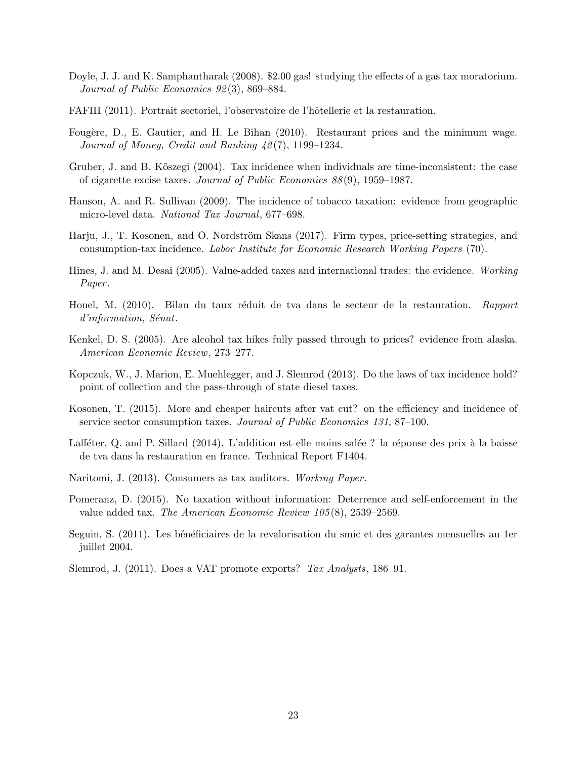- <span id="page-24-7"></span>Doyle, J. J. and K. Samphantharak (2008). \$2.00 gas! studying the effects of a gas tax moratorium. Journal of Public Economics 92 (3), 869–884.
- <span id="page-24-13"></span>FAFIH (2011). Portrait sectoriel, l'observatoire de l'hôtellerie et la restauration.
- <span id="page-24-15"></span>Fougère, D., E. Gautier, and H. Le Bihan (2010). Restaurant prices and the minimum wage. Journal of Money, Credit and Banking 42 (7), 1199–1234.
- <span id="page-24-9"></span>Gruber, J. and B. K˝oszegi (2004). Tax incidence when individuals are time-inconsistent: the case of cigarette excise taxes. Journal of Public Economics 88 (9), 1959–1987.
- <span id="page-24-10"></span>Hanson, A. and R. Sullivan (2009). The incidence of tobacco taxation: evidence from geographic micro-level data. National Tax Journal, 677–698.
- <span id="page-24-12"></span>Harju, J., T. Kosonen, and O. Nordström Skans (2017). Firm types, price-setting strategies, and consumption-tax incidence. Labor Institute for Economic Research Working Papers (70).
- <span id="page-24-1"></span>Hines, J. and M. Desai (2005). Value-added taxes and international trades: the evidence. Working Paper.
- <span id="page-24-5"></span>Houel, M. (2010). Bilan du taux réduit de tva dans le secteur de la restauration. Rapport  $d'information, Sénat.$
- <span id="page-24-11"></span>Kenkel, D. S. (2005). Are alcohol tax hikes fully passed through to prices? evidence from alaska. American Economic Review, 273–277.
- <span id="page-24-8"></span>Kopczuk, W., J. Marion, E. Muehlegger, and J. Slemrod (2013). Do the laws of tax incidence hold? point of collection and the pass-through of state diesel taxes.
- <span id="page-24-0"></span>Kosonen, T. (2015). More and cheaper haircuts after vat cut? on the efficiency and incidence of service sector consumption taxes. Journal of Public Economics 131, 87–100.
- <span id="page-24-6"></span>Lafféter, Q. and P. Sillard (2014). L'addition est-elle moins salée ? la réponse des prix à la baisse de tva dans la restauration en france. Technical Report F1404.
- <span id="page-24-3"></span>Naritomi, J. (2013). Consumers as tax auditors. Working Paper.
- <span id="page-24-4"></span>Pomeranz, D. (2015). No taxation without information: Deterrence and self-enforcement in the value added tax. The American Economic Review 105 (8), 2539–2569.
- <span id="page-24-14"></span>Seguin, S. (2011). Les bénéficiaires de la revalorisation du smic et des garantes mensuelles au 1er juillet 2004.
- <span id="page-24-2"></span>Slemrod, J. (2011). Does a VAT promote exports? Tax Analysts, 186–91.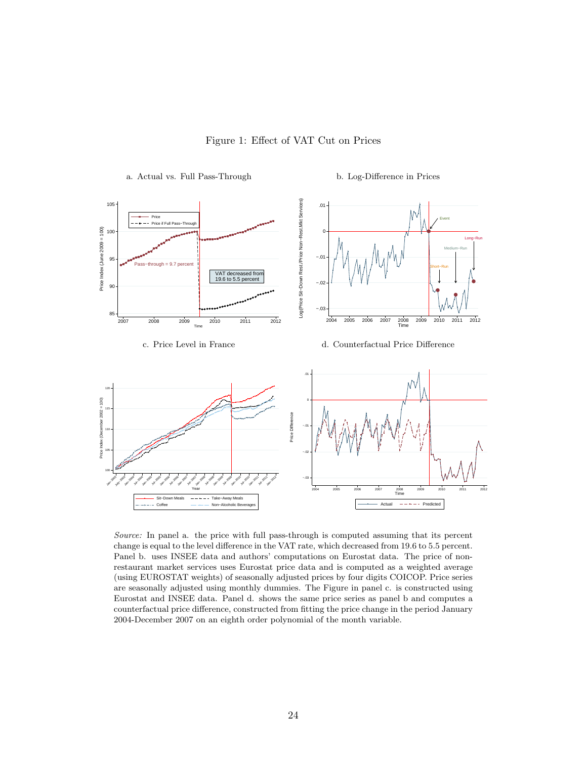<span id="page-25-0"></span>

Figure 1: Effect of VAT Cut on Prices

Source: In panel a. the price with full pass-through is computed assuming that its percent change is equal to the level difference in the VAT rate, which decreased from 19.6 to 5.5 percent. Panel b. uses INSEE data and authors' computations on Eurostat data. The price of nonrestaurant market services uses Eurostat price data and is computed as a weighted average (using EUROSTAT weights) of seasonally adjusted prices by four digits COICOP. Price series are seasonally adjusted using monthly dummies. The Figure in panel c. is constructed using Eurostat and INSEE data. Panel d. shows the same price series as panel b and computes a counterfactual price difference, constructed from fitting the price change in the period January 2004-December 2007 on an eighth order polynomial of the month variable.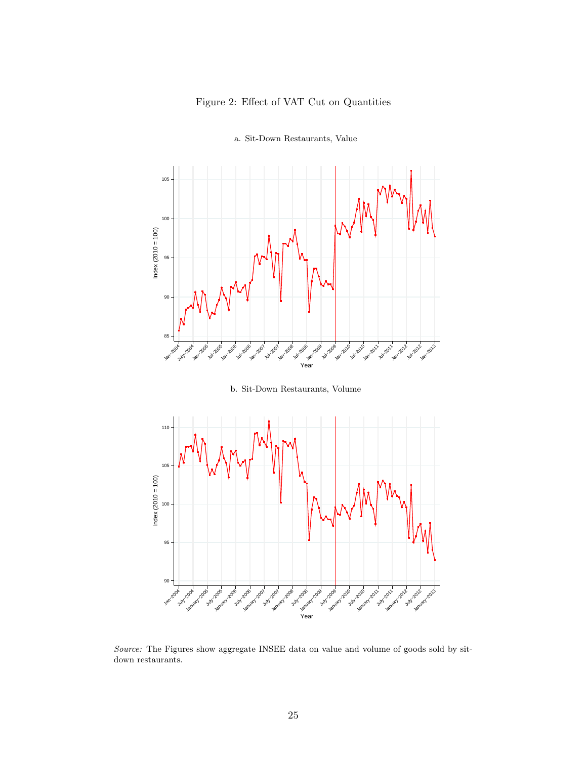

<span id="page-26-0"></span>

a. Sit-Down Restaurants, Value



Source: The Figures show aggregate INSEE data on value and volume of goods sold by sitdown restaurants.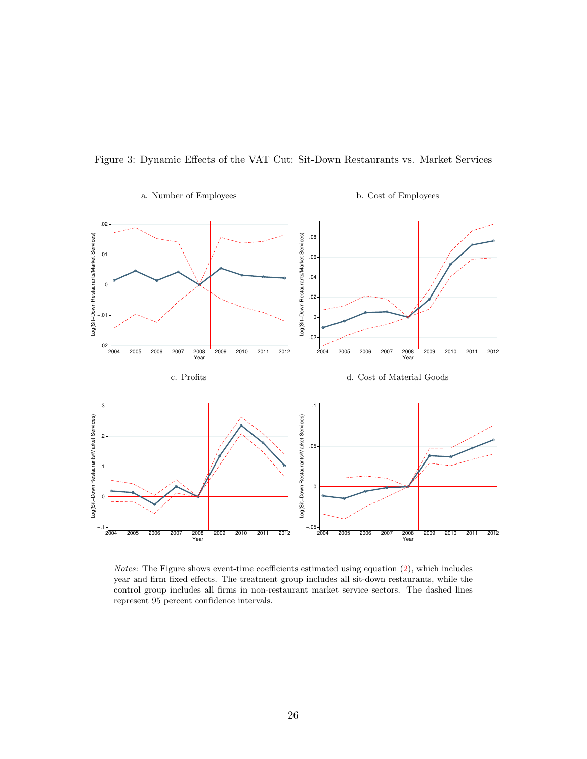<span id="page-27-0"></span>



Notes: The Figure shows event-time coefficients estimated using equation [\(2\)](#page-10-0), which includes year and firm fixed effects. The treatment group includes all sit-down restaurants, while the control group includes all firms in non-restaurant market service sectors. The dashed lines represent 95 percent confidence intervals.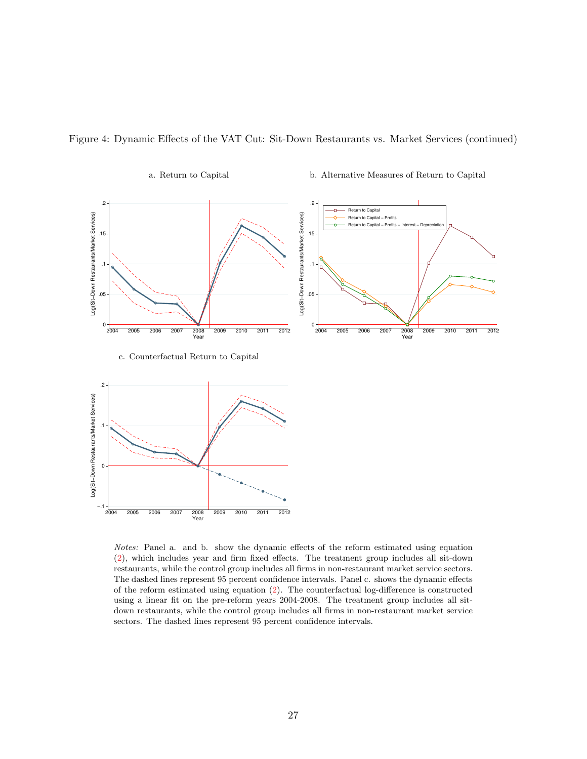

<span id="page-28-0"></span>Figure 4: Dynamic Effects of the VAT Cut: Sit-Down Restaurants vs. Market Services (continued)

Notes: Panel a. and b. show the dynamic effects of the reform estimated using equation [\(2\)](#page-10-0), which includes year and firm fixed effects. The treatment group includes all sit-down restaurants, while the control group includes all firms in non-restaurant market service sectors. The dashed lines represent 95 percent confidence intervals. Panel c. shows the dynamic effects of the reform estimated using equation [\(2\)](#page-10-0). The counterfactual log-difference is constructed using a linear fit on the pre-reform years 2004-2008. The treatment group includes all sitdown restaurants, while the control group includes all firms in non-restaurant market service sectors. The dashed lines represent 95 percent confidence intervals.

−.1 <del>|</del><br>2004

2004 2005 2006 2007 2008 2009 2010 2011 2012 2008<br>Year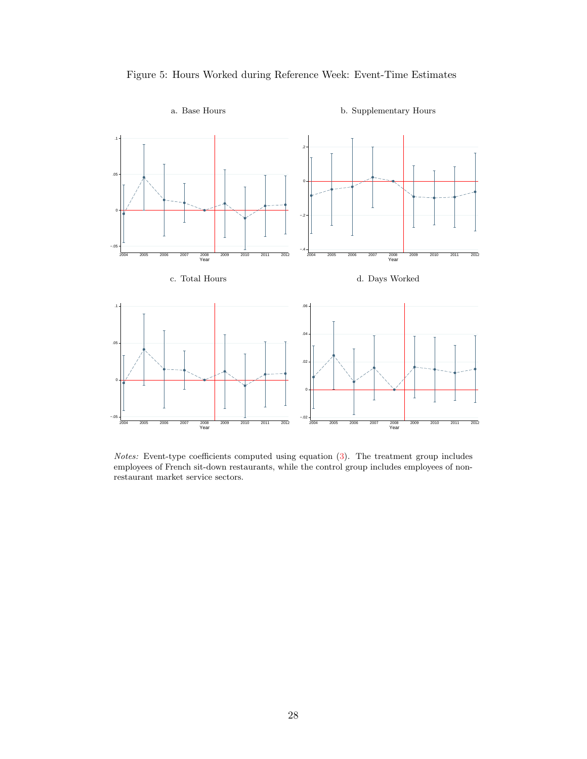

<span id="page-29-0"></span>

Notes: Event-type coefficients computed using equation [\(3\)](#page-14-5). The treatment group includes employees of French sit-down restaurants, while the control group includes employees of nonrestaurant market service sectors.

### 28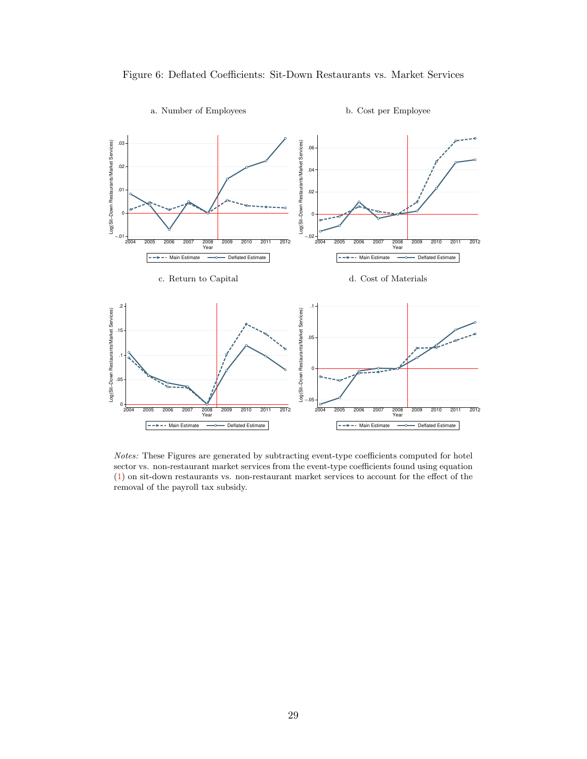<span id="page-30-0"></span>



a. Number of Employees b. Cost per Employee

Notes: These Figures are generated by subtracting event-type coefficients computed for hotel sector vs. non-restaurant market services from the event-type coefficients found using equation [\(1\)](#page-8-2) on sit-down restaurants vs. non-restaurant market services to account for the effect of the removal of the payroll tax subsidy.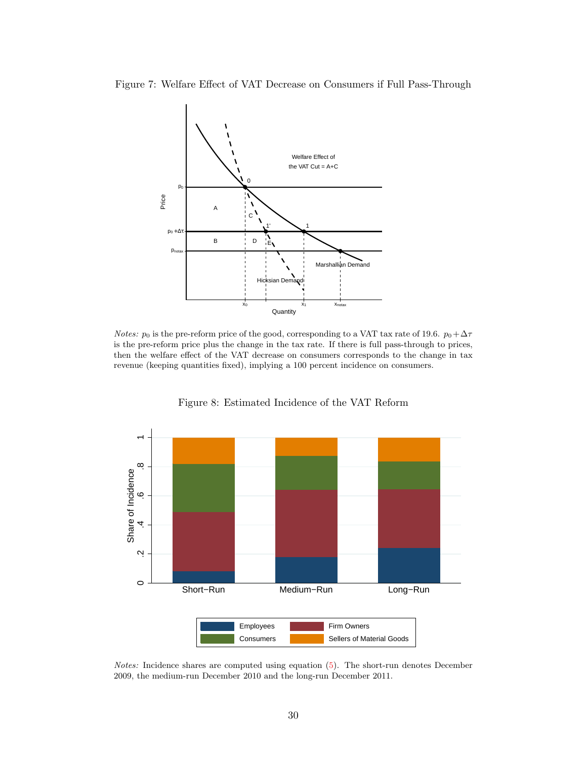<span id="page-31-0"></span>Figure 7: Welfare Effect of VAT Decrease on Consumers if Full Pass-Through



*Notes:*  $p_0$  is the pre-reform price of the good, corresponding to a VAT tax rate of 19.6.  $p_0 + \Delta \tau$ is the pre-reform price plus the change in the tax rate. If there is full pass-through to prices, then the welfare effect of the VAT decrease on consumers corresponds to the change in tax revenue (keeping quantities fixed), implying a 100 percent incidence on consumers.

<span id="page-31-1"></span>

Figure 8: Estimated Incidence of the VAT Reform

Notes: Incidence shares are computed using equation [\(5\)](#page-18-0). The short-run denotes December 2009, the medium-run December 2010 and the long-run December 2011.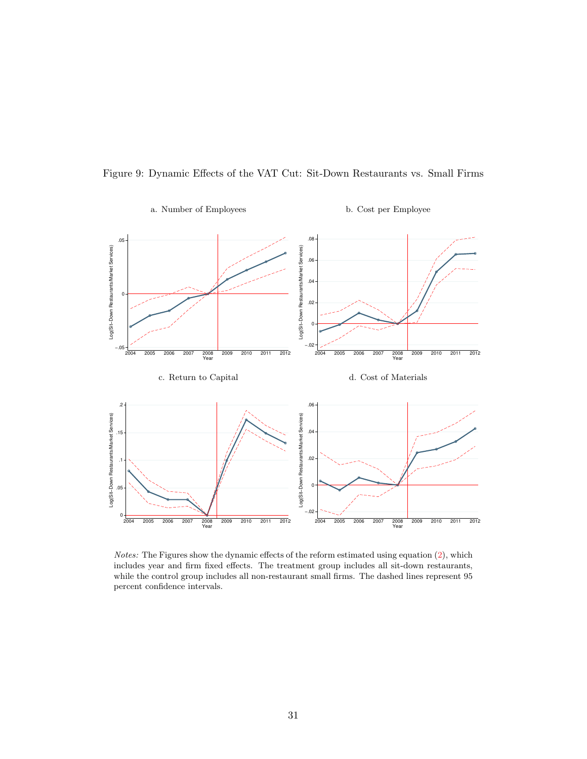<span id="page-32-0"></span>

Figure 9: Dynamic Effects of the VAT Cut: Sit-Down Restaurants vs. Small Firms

Notes: The Figures show the dynamic effects of the reform estimated using equation [\(2\)](#page-10-0), which includes year and firm fixed effects. The treatment group includes all sit-down restaurants, while the control group includes all non-restaurant small firms. The dashed lines represent 95 percent confidence intervals.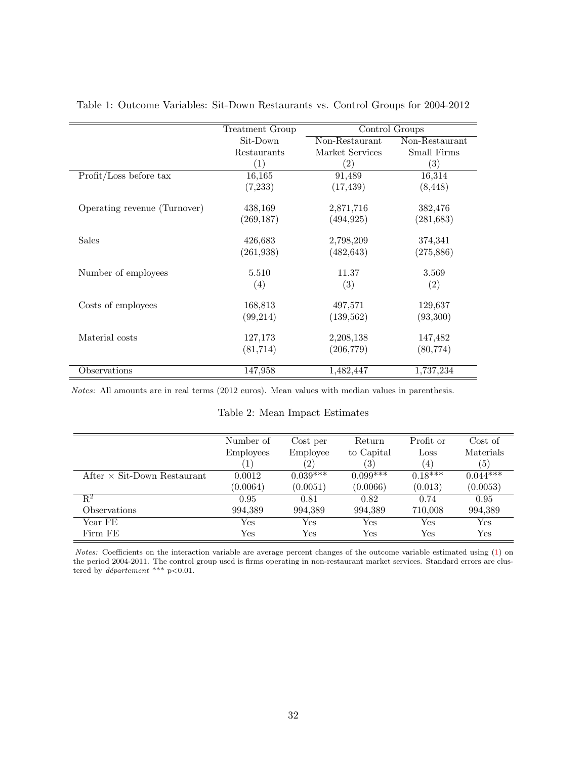|                              | Treatment Group |                   | Control Groups    |
|------------------------------|-----------------|-------------------|-------------------|
|                              | Sit-Down        | Non-Restaurant    | Non-Restaurant    |
|                              | Restaurants     | Market Services   | Small Firms       |
|                              | (1)             | $\left( 2\right)$ | $\left( 3\right)$ |
| Profit/Loss before tax       | 16,165          | 91,489            | 16,314            |
|                              | (7,233)         | (17, 439)         | (8, 448)          |
| Operating revenue (Turnover) | 438,169         | 2,871,716         | 382,476           |
|                              | (269, 187)      | (494, 925)        | (281, 683)        |
| Sales                        | 426,683         | 2,798,209         | 374,341           |
|                              | (261, 938)      | (482, 643)        | (275, 886)        |
| Number of employees          | 5.510           | 11.37             | 3.569             |
|                              | (4)             | (3)               | (2)               |
| Costs of employees           | 168,813         | 497,571           | 129,637           |
|                              | (99, 214)       | (139, 562)        | (93,300)          |
| Material costs               | 127,173         | 2,208,138         | 147,482           |
|                              | (81, 714)       | (206, 779)        | (80, 774)         |
| Observations                 | 147,958         | 1,482,447         | 1,737,234         |

<span id="page-33-0"></span>Table 1: Outcome Variables: Sit-Down Restaurants vs. Control Groups for 2004-2012

Notes: All amounts are in real terms (2012 euros). Mean values with median values in parenthesis.

### Table 2: Mean Impact Estimates

<span id="page-33-1"></span>

|                                    | Number of            | Cost per             | Return     | Profit or    | Cost of              |
|------------------------------------|----------------------|----------------------|------------|--------------|----------------------|
|                                    | <b>Employees</b>     | Employee             | to Capital | Loss         | Materials            |
|                                    |                      | $\left( 2\right)$    | (3)        | (4)          | (5)                  |
| After $\times$ Sit-Down Restaurant | 0.0012               | $0.039***$           | $0.099***$ | $0.18***$    | $0.044***$           |
|                                    | (0.0064)             | (0.0051)             | (0.0066)   | (0.013)      | (0.0053)             |
| $\rm R^2$                          | 0.95                 | 0.81                 | 0.82       | 0.74         | 0.95                 |
| Observations                       | 994,389              | 994,389              | 994,389    | 710,008      | 994,389              |
| Year FE                            | Yes                  | Yes                  | Yes        | $_{\rm Yes}$ | $\operatorname{Yes}$ |
| Firm FE                            | $\operatorname{Yes}$ | $\operatorname{Yes}$ | Yes        | Yes          | $_{\rm Yes}$         |

Notes: Coefficients on the interaction variable are average percent changes of the outcome variable estimated using [\(1\)](#page-8-2) on the period 2004-2011. The control group used is firms operating in non-restaurant market services. Standard errors are clustered by *département* \*\*\*  $p<0.01$ .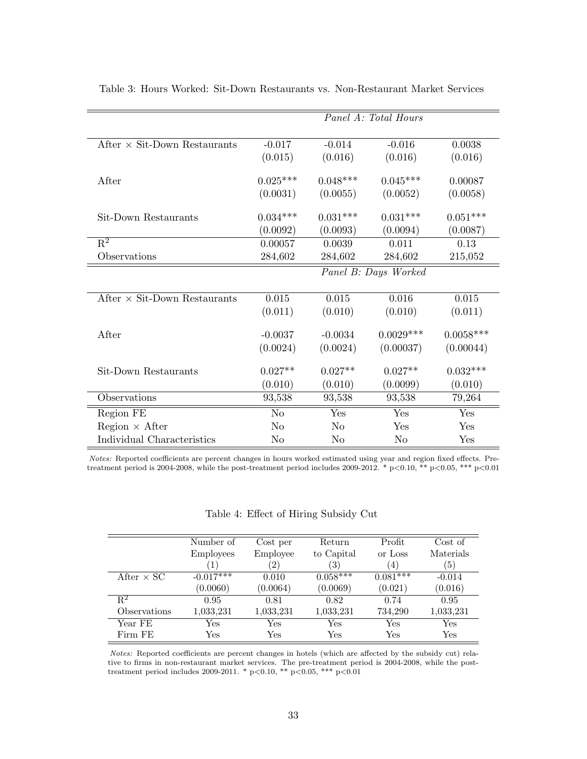<span id="page-34-0"></span>

|                                     | Panel A: Total Hours |                |                      |             |  |  |
|-------------------------------------|----------------------|----------------|----------------------|-------------|--|--|
|                                     |                      |                |                      |             |  |  |
| After $\times$ Sit-Down Restaurants | $-0.017$             | $-0.014$       | $-0.016$             | 0.0038      |  |  |
|                                     | (0.015)              | (0.016)        | (0.016)              | (0.016)     |  |  |
|                                     |                      |                |                      |             |  |  |
| After                               | $0.025***$           | $0.048***$     | $0.045***$           | 0.00087     |  |  |
|                                     | (0.0031)             | (0.0055)       | (0.0052)             | (0.0058)    |  |  |
| Sit-Down Restaurants                | $0.034***$           | $0.031***$     | $0.031***$           | $0.051***$  |  |  |
|                                     | (0.0092)             | (0.0093)       | (0.0094)             | (0.0087)    |  |  |
| $\overline{\mathrm{R}^2}$           | 0.00057              | 0.0039         | 0.011                | 0.13        |  |  |
| Observations                        | 284,602              | 284,602        | 284,602              | 215,052     |  |  |
|                                     |                      |                | Panel B: Days Worked |             |  |  |
|                                     |                      |                |                      |             |  |  |
| After $\times$ Sit-Down Restaurants | 0.015                | 0.015          | 0.016                | 0.015       |  |  |
|                                     | (0.011)              | (0.010)        | (0.010)              | (0.011)     |  |  |
| After                               |                      | $-0.0034$      |                      | $0.0058***$ |  |  |
|                                     | $-0.0037$            |                | $0.0029***$          |             |  |  |
|                                     | (0.0024)             | (0.0024)       | (0.00037)            | (0.00044)   |  |  |
| Sit-Down Restaurants                | $0.027**$            | $0.027**$      | $0.027**$            | $0.032***$  |  |  |
|                                     | (0.010)              | (0.010)        | (0.0099)             | (0.010)     |  |  |
| Observations                        | 93,538               | 93,538         | 93,538               | 79,264      |  |  |
| Region FE                           | N <sub>o</sub>       | Yes            | Yes                  | Yes         |  |  |
| $Region \times After$               | No                   | N <sub>o</sub> | Yes                  | Yes         |  |  |
| Individual Characteristics          | No                   | No             | No                   | Yes         |  |  |

Table 3: Hours Worked: Sit-Down Restaurants vs. Non-Restaurant Market Services

Notes: Reported coefficients are percent changes in hours worked estimated using year and region fixed effects. Pretreatment period is 2004-2008, while the post-treatment period includes 2009-2012. \* p<0.00, \*\* p<0.05, \*\*\* p<0.01

| Table 4: Effect of Hiring Subsidy Cut |  |  |  |  |  |
|---------------------------------------|--|--|--|--|--|
|---------------------------------------|--|--|--|--|--|

<span id="page-34-1"></span>

|                           | Number of        | Cost per          | Return       | Profit           | Cost of          |
|---------------------------|------------------|-------------------|--------------|------------------|------------------|
|                           | <b>Employees</b> | Employee          | to Capital   | or Loss          | Materials        |
|                           |                  | $\left( 2\right)$ | ΄3΄          | $\left(4\right)$ | $\left(5\right)$ |
| After $\times$ SC         | $-0.017***$      | 0.010             | $0.058***$   | $0.081***$       | $-0.014$         |
|                           | (0.0060)         | (0.0064)          | (0.0069)     | (0.021)          | (0.016)          |
| $\overline{\mathrm{R}^2}$ | 0.95             | 0.81              | 0.82         | 0.74             | 0.95             |
| Observations              | 1,033,231        | 1,033,231         | 1,033,231    | 734,290          | 1,033,231        |
| Year FE                   | Yes              | Yes               | $_{\rm Yes}$ | Yes              | Yes              |
| Firm FE                   | Yes              | Yes               | Yes          | Yes              | Yes              |

Notes: Reported coefficients are percent changes in hotels (which are affected by the subsidy cut) relative to firms in non-restaurant market services. The pre-treatment period is 2004-2008, while the posttreatment period includes 2009-2011. \* p<0.10, \*\* p<0.05, \*\*\* p<0.01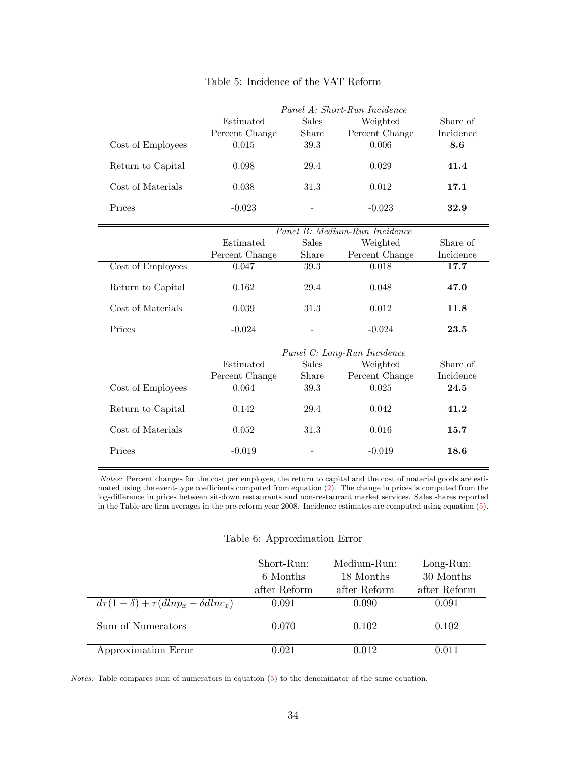<span id="page-35-1"></span>

|                   | Panel A: Short-Run Incidence  |              |                |           |  |  |
|-------------------|-------------------------------|--------------|----------------|-----------|--|--|
|                   | Estimated                     | <b>Sales</b> | Weighted       | Share of  |  |  |
|                   | Percent Change                | Share        | Percent Change | Incidence |  |  |
| Cost of Employees | 0.015                         | 39.3         | 0.006          | 8.6       |  |  |
| Return to Capital | 0.098                         | 29.4         | 0.029          | 41.4      |  |  |
| Cost of Materials | 0.038                         | 31.3         | 0.012          | 17.1      |  |  |
| Prices            | $-0.023$                      |              | $-0.023$       | 32.9      |  |  |
|                   | Panel B: Medium-Run Incidence |              |                |           |  |  |
|                   | Estimated                     | <b>Sales</b> | Weighted       | Share of  |  |  |
|                   | Percent Change                | Share        | Percent Change | Incidence |  |  |
| Cost of Employees | 0.047                         | 39.3         | 0.018          | 17.7      |  |  |
| Return to Capital | 0.162                         | 29.4         | 0.048          | 47.0      |  |  |
| Cost of Materials | 0.039                         | 31.3         | 0.012          | 11.8      |  |  |
| Prices            | $-0.024$                      |              | $-0.024$       | 23.5      |  |  |
|                   | Panel C: Long-Run Incidence   |              |                |           |  |  |
|                   | Estimated                     | <b>Sales</b> | Weighted       | Share of  |  |  |
|                   | Percent Change                | Share        | Percent Change | Incidence |  |  |
| Cost of Employees | 0.064                         | 39.3         | 0.025          | 24.5      |  |  |
| Return to Capital | 0.142                         | 29.4         | 0.042          | 41.2      |  |  |
| Cost of Materials | 0.052                         | 31.3         | 0.016          | 15.7      |  |  |
| Prices            | $-0.019$                      |              | $-0.019$       | 18.6      |  |  |

Table 5: Incidence of the VAT Reform

Notes: Percent changes for the cost per employee, the return to capital and the cost of material goods are estimated using the event-type coefficients computed from equation [\(2\)](#page-10-0). The change in prices is computed from the log-difference in prices between sit-down restaurants and non-restaurant market services. Sales shares reported in the Table are firm averages in the pre-reform year 2008. Incidence estimates are computed using equation [\(5\)](#page-18-0).

| Table 6: Approximation Error |  |  |
|------------------------------|--|--|
|------------------------------|--|--|

<span id="page-35-0"></span>

|                                                    | Short-Run:   | Medium-Run:  | $Long-Run:$  |
|----------------------------------------------------|--------------|--------------|--------------|
|                                                    | 6 Months     | 18 Months    | 30 Months    |
|                                                    | after Reform | after Reform | after Reform |
| $d\tau(1-\delta) + \tau(dln p_x - \delta dln c_x)$ | 0.091        | 0.090        | 0.091        |
| Sum of Numerators                                  | 0.070        | 0.102        | 0.102        |
| Approximation Error                                | 0.021        | 0.012        | 0.011        |

Notes: Table compares sum of numerators in equation [\(5\)](#page-18-0) to the denominator of the same equation.

L,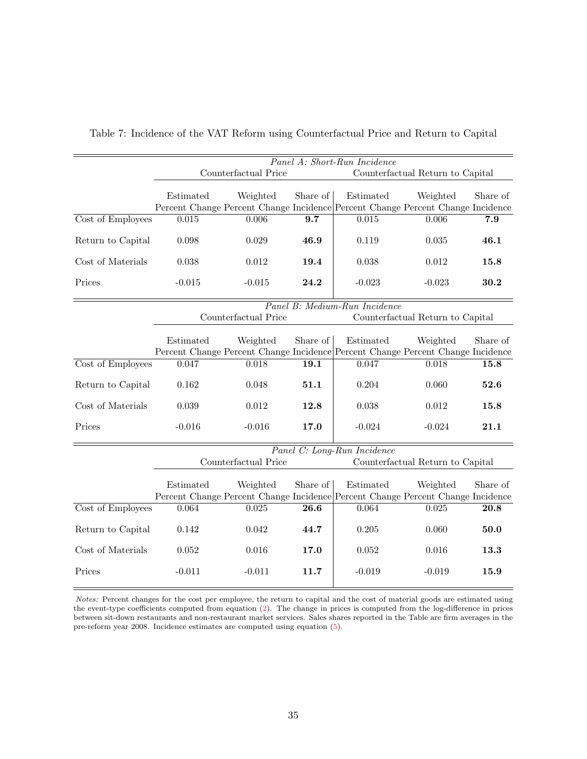<span id="page-36-0"></span>

|                   | Panel A: Short-Run Incidence      |                                                                                 |                   |                                  |                                  |          |
|-------------------|-----------------------------------|---------------------------------------------------------------------------------|-------------------|----------------------------------|----------------------------------|----------|
|                   |                                   | Counterfactual Price                                                            |                   |                                  | Counterfactual Return to Capital |          |
|                   |                                   |                                                                                 |                   |                                  |                                  |          |
|                   | Estimated                         | Weighted                                                                        | Share of          | Estimated                        | Weighted                         | Share of |
|                   |                                   | Percent Change Percent Change Incidence Percent Change Percent Change Incidence |                   |                                  |                                  |          |
| Cost of Employees | 0.015                             | 0.006                                                                           | 9.7               | 0.015                            | 0.006                            | 7.9      |
| Return to Capital | 0.098                             | 0.029                                                                           | 46.9              | 0.119                            | 0.035                            | 46.1     |
| Cost of Materials | 0.038                             | 0.012                                                                           | 19.4              | 0.038                            | 0.012                            | 15.8     |
| Prices            | $-0.015$                          | $-0.015$                                                                        | 24.2              | $-0.023$                         | $-0.023$                         | 30.2     |
|                   | Panel B: Medium-Run Incidence     |                                                                                 |                   |                                  |                                  |          |
|                   | Counterfactual Price              |                                                                                 |                   |                                  | Counterfactual Return to Capital |          |
|                   |                                   |                                                                                 |                   |                                  |                                  |          |
|                   | Estimated                         | Weighted                                                                        | Share of          | Estimated                        | Weighted                         | Share of |
|                   |                                   | Percent Change Percent Change Incidence Percent Change Percent Change Incidence |                   |                                  |                                  |          |
| Cost of Employees | 0.047                             | 0.018                                                                           | 19.1              | 0.047                            | 0.018                            | 15.8     |
| Return to Capital | 0.162                             | 0.048                                                                           | 51.1              | 0.204                            | 0.060                            | 52.6     |
| Cost of Materials | 0.039                             | 0.012                                                                           | 12.8              | 0.038                            | 0.012                            | 15.8     |
| Prices            | $-0.016$                          | $-0.016$                                                                        | 17.0              | $-0.024$                         | $-0.024$                         | 21.1     |
|                   |                                   |                                                                                 |                   | Panel C: Long-Run Incidence      |                                  |          |
|                   | Counterfactual Price              |                                                                                 |                   | Counterfactual Return to Capital |                                  |          |
|                   | Weighted<br>Share of<br>Estimated |                                                                                 | Estimated         | Weighted                         | Share of                         |          |
|                   |                                   | Percent Change Percent Change Incidence Percent Change Percent Change Incidence |                   |                                  |                                  |          |
| Cost of Employees | 0.064                             | 0.025                                                                           | $\overline{26.6}$ | 0.064                            | 0.025                            | 20.8     |
| Return to Capital | 0.142                             | 0.042                                                                           | 44.7              | 0.205                            | 0.060                            | 50.0     |
| Cost of Materials | 0.052                             | 0.016                                                                           | 17.0              | 0.052                            | 0.016                            | 13.3     |
| Prices            | $-0.011$                          | $-0.011$                                                                        | 11.7              | $-0.019$                         | $-0.019$                         | 15.9     |

Table 7: Incidence of the VAT Reform using Counterfactual Price and Return to Capital

Notes: Percent changes for the cost per employee, the return to capital and the cost of material goods are estimated using the event-type coefficients computed from equation [\(2\)](#page-10-0). The change in prices is computed from the log-difference in prices between sit-down restaurants and non-restaurant market services. Sales shares reported in the Table are firm averages in the pre-reform year 2008. Incidence estimates are computed using equation [\(5\)](#page-18-0).

 $\equiv$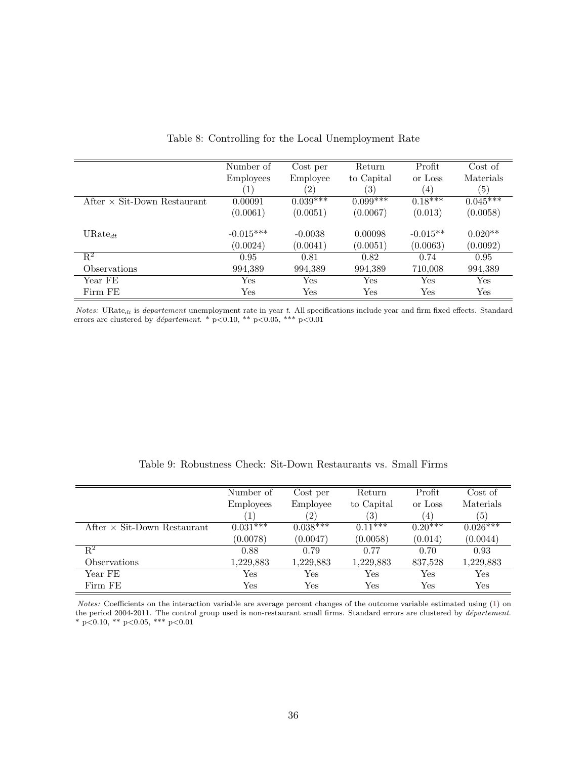<span id="page-37-0"></span>

|                                    | Number of        | Cost per          | Return     | Profit     | Cost of    |
|------------------------------------|------------------|-------------------|------------|------------|------------|
|                                    | <b>Employees</b> | Employee          | to Capital | or Loss    | Materials  |
|                                    | $ 1\rangle$      | $\left( 2\right)$ | (3)        | (4)        | (5)        |
| After $\times$ Sit-Down Restaurant | 0.00091          | $0.039***$        | $0.099***$ | $0.18***$  | $0.045***$ |
|                                    | (0.0061)         | (0.0051)          | (0.0067)   | (0.013)    | (0.0058)   |
| $URate_{dt}$                       | $-0.015***$      | $-0.0038$         | 0.00098    | $-0.015**$ | $0.020**$  |
|                                    | (0.0024)         | (0.0041)          | (0.0051)   | (0.0063)   | (0.0092)   |
| $R^2$                              | 0.95             | 0.81              | 0.82       | 0.74       | 0.95       |
| <i><b>Observations</b></i>         | 994,389          | 994,389           | 994,389    | 710,008    | 994,389    |
| Year FE                            | Yes              | Yes               | Yes        | Yes        | Yes        |
| Firm FE                            | Yes              | Yes               | Yes        | Yes        | Yes        |

|  |  | Table 8: Controlling for the Local Unemployment Rate |  |  |  |  |
|--|--|------------------------------------------------------|--|--|--|--|
|--|--|------------------------------------------------------|--|--|--|--|

Notes: URate<sub>dt</sub> is departement unemployment rate in year t. All specifications include year and firm fixed effects. Standard errors are clustered by *département*. \*  $p<0.10$ , \*\*  $p<0.05$ , \*\*\*  $p<0.01$ 

|  | Table 9: Robustness Check: Sit-Down Restaurants vs. Small Firms |  |  |  |
|--|-----------------------------------------------------------------|--|--|--|
|--|-----------------------------------------------------------------|--|--|--|

<span id="page-37-1"></span>

|                                    | Number of        | Cost per   | Return               | Profit               | Cost of    |
|------------------------------------|------------------|------------|----------------------|----------------------|------------|
|                                    | <b>Employees</b> | Employee   | to Capital           | or Loss              | Materials  |
|                                    |                  | (2)        | $\left( 3\right)$    | $\left(4\right)$     | (5)        |
| After $\times$ Sit-Down Restaurant | $0.031***$       | $0.038***$ | $0.11***$            | $0.20***$            | $0.026***$ |
|                                    | (0.0078)         | (0.0047)   | (0.0058)             | (0.014)              | (0.0044)   |
| $\mathrm{R}^2$                     | 0.88             | 0.79       | 0.77                 | 0.70                 | 0.93       |
| Observations                       | 1,229,883        | 1,229,883  | 1,229,883            | 837,528              | 1,229,883  |
| Year FE                            | Yes              | Yes        | $\operatorname{Yes}$ | $\operatorname{Yes}$ | Yes        |
| Firm FE                            | Yes              | Yes        | Yes                  | Yes                  | Yes        |

Notes: Coefficients on the interaction variable are average percent changes of the outcome variable estimated using [\(1\)](#page-8-2) on the period 2004-2011. The control group used is non-restaurant small firms. Standard errors are clustered by *département*. \* p<0.10, \*\* p<0.05, \*\*\* p<0.01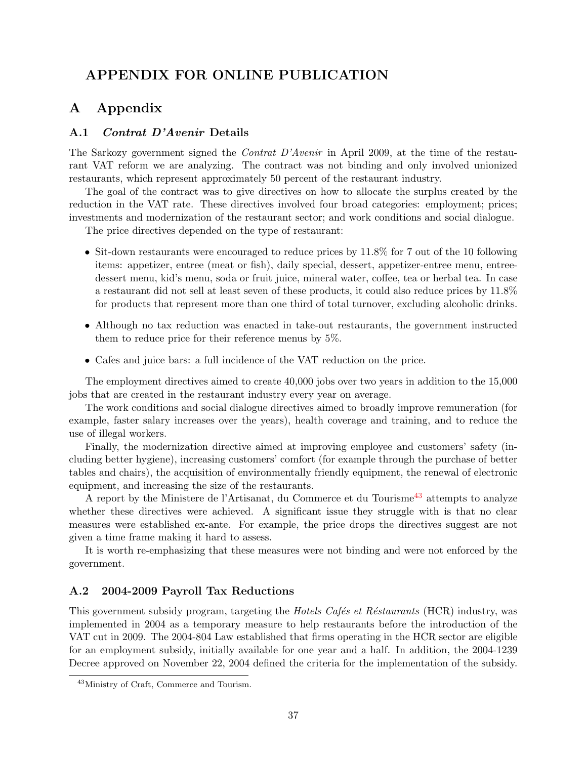# APPENDIX FOR ONLINE PUBLICATION

# A Appendix

## <span id="page-38-0"></span>A.1 Contrat D'Avenir Details

The Sarkozy government signed the *Contrat D'Avenir* in April 2009, at the time of the restaurant VAT reform we are analyzing. The contract was not binding and only involved unionized restaurants, which represent approximately 50 percent of the restaurant industry.

The goal of the contract was to give directives on how to allocate the surplus created by the reduction in the VAT rate. These directives involved four broad categories: employment; prices; investments and modernization of the restaurant sector; and work conditions and social dialogue.

The price directives depended on the type of restaurant:

- Sit-down restaurants were encouraged to reduce prices by 11.8% for 7 out of the 10 following items: appetizer, entree (meat or fish), daily special, dessert, appetizer-entree menu, entreedessert menu, kid's menu, soda or fruit juice, mineral water, coffee, tea or herbal tea. In case a restaurant did not sell at least seven of these products, it could also reduce prices by 11.8% for products that represent more than one third of total turnover, excluding alcoholic drinks.
- Although no tax reduction was enacted in take-out restaurants, the government instructed them to reduce price for their reference menus by 5%.
- Cafes and juice bars: a full incidence of the VAT reduction on the price.

The employment directives aimed to create 40,000 jobs over two years in addition to the 15,000 jobs that are created in the restaurant industry every year on average.

The work conditions and social dialogue directives aimed to broadly improve remuneration (for example, faster salary increases over the years), health coverage and training, and to reduce the use of illegal workers.

Finally, the modernization directive aimed at improving employee and customers' safety (including better hygiene), increasing customers' comfort (for example through the purchase of better tables and chairs), the acquisition of environmentally friendly equipment, the renewal of electronic equipment, and increasing the size of the restaurants.

A report by the Ministere de l'Artisanat, du Commerce et du Tourisme<sup>[43](#page-38-1)</sup> attempts to analyze whether these directives were achieved. A significant issue they struggle with is that no clear measures were established ex-ante. For example, the price drops the directives suggest are not given a time frame making it hard to assess.

It is worth re-emphasizing that these measures were not binding and were not enforced by the government.

## A.2 2004-2009 Payroll Tax Reductions

This government subsidy program, targeting the *Hotels Cafés et Réstaurants* (HCR) industry, was implemented in 2004 as a temporary measure to help restaurants before the introduction of the VAT cut in 2009. The 2004-804 Law established that firms operating in the HCR sector are eligible for an employment subsidy, initially available for one year and a half. In addition, the 2004-1239 Decree approved on November 22, 2004 defined the criteria for the implementation of the subsidy.

<span id="page-38-1"></span><sup>43</sup>Ministry of Craft, Commerce and Tourism.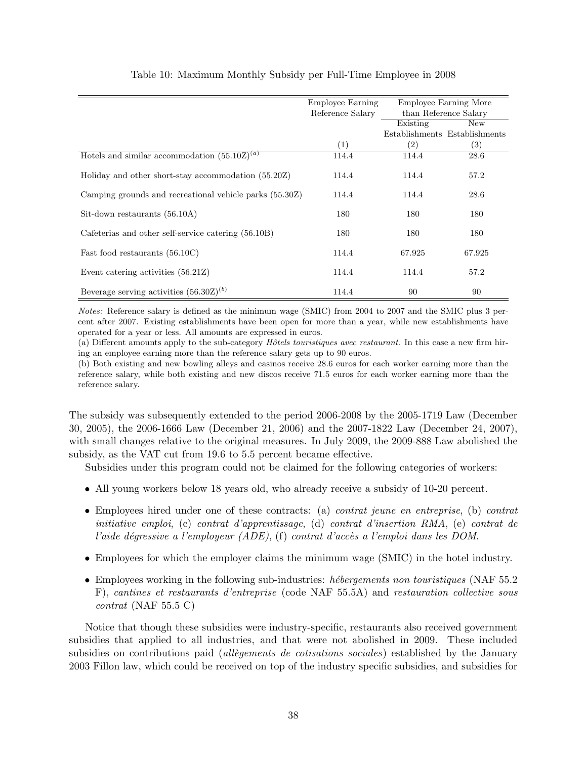|                                                         | Employee Earning |                   | Employee Earning More         |
|---------------------------------------------------------|------------------|-------------------|-------------------------------|
|                                                         | Reference Salary |                   | than Reference Salary         |
|                                                         |                  | Existing          | New                           |
|                                                         |                  |                   | Establishments Establishments |
|                                                         | (1)              | $\left( 2\right)$ | $\left(3\right)$              |
| Hotels and similar accommodation $(55.10Z)^{(a)}$       | 114.4            | 114.4             | 28.6                          |
| Holiday and other short-stay accommodation (55.20Z)     | 114.4            | 114.4             | 57.2                          |
| Camping grounds and recreational vehicle parks (55.30Z) | 114.4            | 114.4             | 28.6                          |
| Sit-down restaurants (56.10A)                           | 180              | 180               | 180                           |
| Cafeterias and other self-service catering (56.10B)     | 180              | 180               | 180                           |
| Fast food restaurants (56.10C)                          | 114.4            | 67.925            | 67.925                        |
| Event catering activities $(56.21Z)$                    | 114.4            | 114.4             | 57.2                          |
| Beverage serving activities $(56.30Z)^{(b)}$            | 114.4            | 90                | 90                            |

## Table 10: Maximum Monthly Subsidy per Full-Time Employee in 2008

Notes: Reference salary is defined as the minimum wage (SMIC) from 2004 to 2007 and the SMIC plus 3 percent after 2007. Existing establishments have been open for more than a year, while new establishments have operated for a year or less. All amounts are expressed in euros.

(a) Different amounts apply to the sub-category  $H\delta tels$  touristiques avec restaurant. In this case a new firm hiring an employee earning more than the reference salary gets up to 90 euros.

(b) Both existing and new bowling alleys and casinos receive 28.6 euros for each worker earning more than the reference salary, while both existing and new discos receive 71.5 euros for each worker earning more than the reference salary.

The subsidy was subsequently extended to the period 2006-2008 by the 2005-1719 Law (December 30, 2005), the 2006-1666 Law (December 21, 2006) and the 2007-1822 Law (December 24, 2007), with small changes relative to the original measures. In July 2009, the 2009-888 Law abolished the subsidy, as the VAT cut from 19.6 to 5.5 percent became effective.

Subsidies under this program could not be claimed for the following categories of workers:

- All young workers below 18 years old, who already receive a subsidy of 10-20 percent.
- Employees hired under one of these contracts: (a) *contrat jeune en entreprise*, (b) *contrat* initiative emploi, (c) contrat d'apprentissage, (d) contrat d'insertion RMA, (e) contrat de l'aide dégressive a l'employeur (ADE), (f) contrat d'accès a l'emploi dans les DOM.
- Employees for which the employer claims the minimum wage (SMIC) in the hotel industry.
- Employees working in the following sub-industries: *hébergements non touristiques* (NAF 55.2) F), cantines et restaurants d'entreprise (code NAF 55.5A) and restauration collective sous contrat (NAF 55.5 C)

Notice that though these subsidies were industry-specific, restaurants also received government subsidies that applied to all industries, and that were not abolished in 2009. These included subsidies on contributions paid (allègements de cotisations sociales) established by the January 2003 Fillon law, which could be received on top of the industry specific subsidies, and subsidies for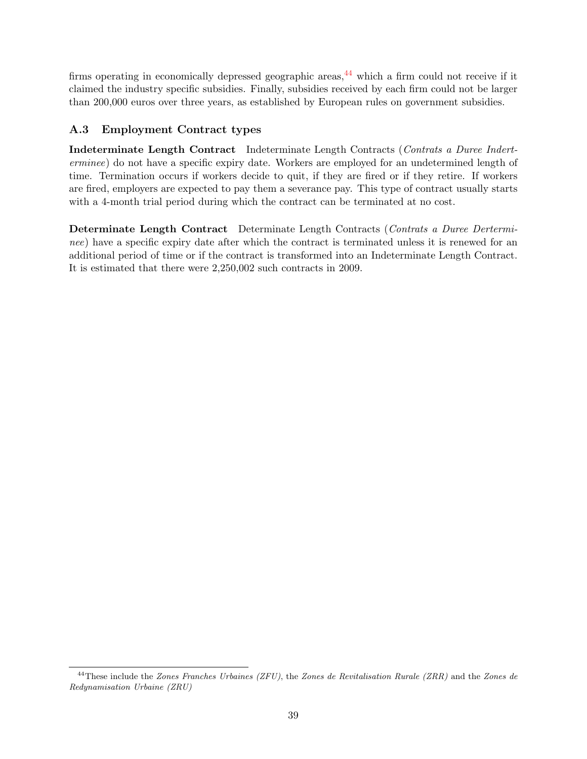firms operating in economically depressed geographic areas,  $44$  which a firm could not receive if it claimed the industry specific subsidies. Finally, subsidies received by each firm could not be larger than 200,000 euros over three years, as established by European rules on government subsidies.

# <span id="page-40-0"></span>A.3 Employment Contract types

Indeterminate Length Contract Indeterminate Length Contracts (Contrats a Duree Inderterminee) do not have a specific expiry date. Workers are employed for an undetermined length of time. Termination occurs if workers decide to quit, if they are fired or if they retire. If workers are fired, employers are expected to pay them a severance pay. This type of contract usually starts with a 4-month trial period during which the contract can be terminated at no cost.

Determinate Length Contract Determinate Length Contracts (Contrats a Duree Derterminee) have a specific expiry date after which the contract is terminated unless it is renewed for an additional period of time or if the contract is transformed into an Indeterminate Length Contract. It is estimated that there were 2,250,002 such contracts in 2009.

<span id="page-40-1"></span> $^{44}$ These include the Zones Franches Urbaines (ZFU), the Zones de Revitalisation Rurale (ZRR) and the Zones de Redynamisation Urbaine (ZRU)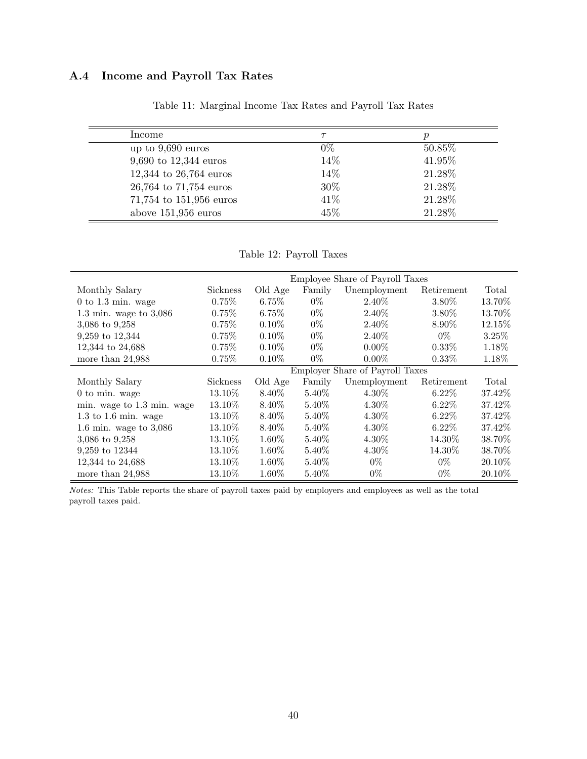# A.4 Income and Payroll Tax Rates

| Income                   |        |        |
|--------------------------|--------|--------|
| up to $9,690$ euros      | $0\%$  | 50.85% |
| 9,690 to $12,344$ euros  | 14%    | 41.95% |
| 12,344 to $26,764$ euros | 14%    | 21.28% |
| 26,764 to 71,754 euros   | $30\%$ | 21.28% |
| 71,754 to 151,956 euros  | 41\%   | 21.28% |
| above $151,956$ euros    | 45%    | 21.28% |

Table 11: Marginal Income Tax Rates and Payroll Tax Rates

Table 12: Payroll Taxes

|                            |                                 |          |          | Employee Share of Payroll Taxes |            |           |
|----------------------------|---------------------------------|----------|----------|---------------------------------|------------|-----------|
| Monthly Salary             | Sickness                        | Old Age  | Family   | Unemployment                    | Retirement | Total     |
| $0$ to 1.3 min. wage       | 0.75%                           | 6.75%    | $0\%$    | 2.40\%                          | $3.80\%$   | 13.70\%   |
| 1.3 min. wage to $3,086$   | 0.75%                           | $6.75\%$ | $0\%$    | 2.40\%                          | 3.80%      | 13.70%    |
| 3,086 to 9,258             | 0.75%                           | $0.10\%$ | $0\%$    | 2.40\%                          | 8.90%      | 12.15%    |
| 9,259 to 12,344            | 0.75%                           | $0.10\%$ | $0\%$    | 2.40%                           | $0\%$      | 3.25%     |
| 12,344 to 24,688           | 0.75%                           | $0.10\%$ | $0\%$    | $0.00\%$                        | $0.33\%$   | 1.18%     |
| more than $24,988$         | 0.75%                           | $0.10\%$ | $0\%$    | $0.00\%$                        | $0.33\%$   | 1.18%     |
|                            | Employer Share of Payroll Taxes |          |          |                                 |            |           |
| Monthly Salary             | Sickness                        | Old Age  | Family   | Unemployment                    | Retirement | Total     |
| $0$ to min. wage           | 13.10\%                         | 8.40%    | 5.40\%   | $4.30\%$                        | $6.22\%$   | 37.42\%   |
| min. wage to 1.3 min. wage | 13.10\%                         | 8.40\%   | 5.40\%   | 4.30\%                          | $6.22\%$   | 37.42%    |
| $1.3$ to $1.6$ min. wage   | 13.10\%                         | 8.40\%   | $5.40\%$ | 4.30\%                          | $6.22\%$   | 37.42\%   |
| 1.6 min. wage to $3,086$   | 13.10\%                         | 8.40\%   | $5.40\%$ | $4.30\%$                        | $6.22\%$   | 37.42\%   |
| 3,086 to 9,258             | 13.10\%                         | $1.60\%$ | $5.40\%$ | $4.30\%$                        | 14.30%     | 38.70%    |
| 9,259 to 12344             | 13.10\%                         | $1.60\%$ | $5.40\%$ | $4.30\%$                        | 14.30%     | 38.70\%   |
| 12,344 to 24,688           | 13.10\%                         | $1.60\%$ | $5.40\%$ | $0\%$                           | $0\%$      | 20.10\%   |
| more than 24,988           | 13.10%                          | 1.60%    | 5.40%    | $0\%$                           | $0\%$      | $20.10\%$ |

Notes: This Table reports the share of payroll taxes paid by employers and employees as well as the total payroll taxes paid.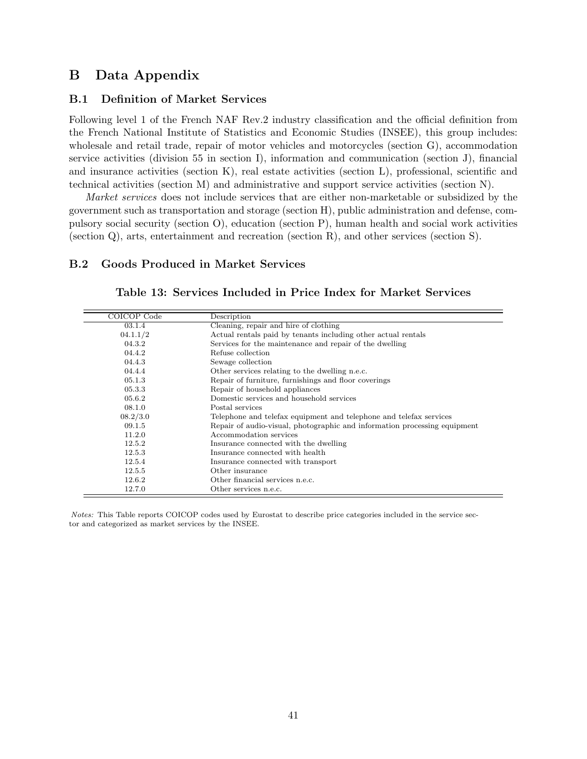# B Data Appendix

## B.1 Definition of Market Services

Following level 1 of the French NAF Rev.2 industry classification and the official definition from the French National Institute of Statistics and Economic Studies (INSEE), this group includes: wholesale and retail trade, repair of motor vehicles and motorcycles (section G), accommodation service activities (division 55 in section I), information and communication (section J), financial and insurance activities (section K), real estate activities (section L), professional, scientific and technical activities (section M) and administrative and support service activities (section N).

Market services does not include services that are either non-marketable or subsidized by the government such as transportation and storage (section H), public administration and defense, compulsory social security (section O), education (section P), human health and social work activities (section Q), arts, entertainment and recreation (section R), and other services (section S).

## B.2 Goods Produced in Market Services

| COICOP Code | Description                                                               |
|-------------|---------------------------------------------------------------------------|
| 03.1.4      | Cleaning, repair and hire of clothing                                     |
| 04.1.1/2    | Actual rentals paid by tenants including other actual rentals             |
| 04.3.2      | Services for the maintenance and repair of the dwelling                   |
| 04.4.2      | Refuse collection                                                         |
| 04.4.3      | Sewage collection                                                         |
| 04.4.4      | Other services relating to the dwelling n.e.c.                            |
| 05.1.3      | Repair of furniture, furnishings and floor coverings                      |
| 05.3.3      | Repair of household appliances                                            |
| 05.6.2      | Domestic services and household services                                  |
| 08.1.0      | Postal services                                                           |
| 08.2/3.0    | Telephone and telefax equipment and telephone and telefax services        |
| 09.1.5      | Repair of audio-visual, photographic and information processing equipment |
| 11.2.0      | Accommodation services                                                    |
| 12.5.2      | Insurance connected with the dwelling                                     |
| 12.5.3      | Insurance connected with health                                           |
| 12.5.4      | Insurance connected with transport                                        |
| 12.5.5      | Other insurance                                                           |
| 12.6.2      | Other financial services n.e.c.                                           |
| 12.7.0      | Other services n.e.c.                                                     |

Table 13: Services Included in Price Index for Market Services

Notes: This Table reports COICOP codes used by Eurostat to describe price categories included in the service sector and categorized as market services by the INSEE.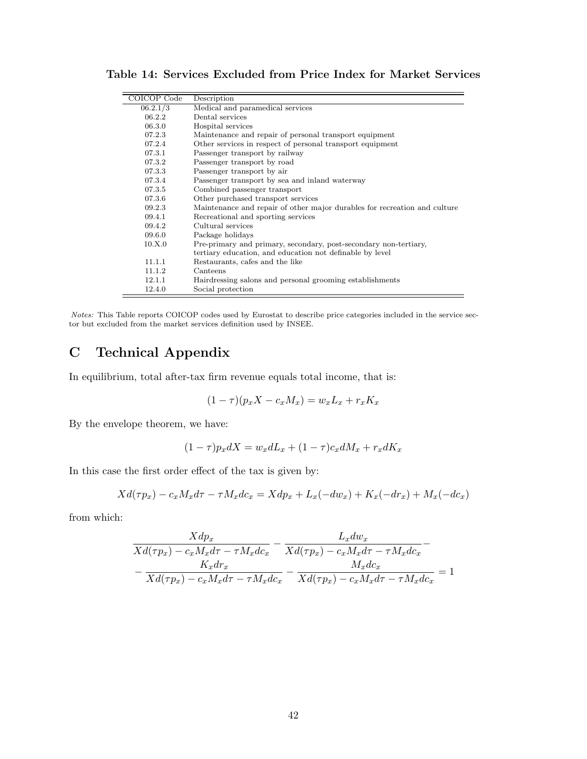| COICOP Code | Description                                                               |
|-------------|---------------------------------------------------------------------------|
| 06.2.1/3    | Medical and paramedical services                                          |
| 06.2.2      | Dental services                                                           |
| 06.3.0      | Hospital services                                                         |
| 07.2.3      | Maintenance and repair of personal transport equipment                    |
| 07.2.4      | Other services in respect of personal transport equipment                 |
| 07.3.1      | Passenger transport by railway                                            |
| 07.3.2      | Passenger transport by road                                               |
| 07.3.3      | Passenger transport by air                                                |
| 07.3.4      | Passenger transport by sea and inland waterway                            |
| 07.3.5      | Combined passenger transport                                              |
| 07.3.6      | Other purchased transport services                                        |
| 09.2.3      | Maintenance and repair of other major durables for recreation and culture |
| 09.4.1      | Recreational and sporting services                                        |
| 09.4.2      | Cultural services                                                         |
| 09.6.0      | Package holidays                                                          |
| 10.X.0      | Pre-primary and primary, secondary, post-secondary non-tertiary,          |
|             | tertiary education, and education not definable by level                  |
| 11.1.1      | Restaurants, cafes and the like                                           |
| 11.1.2      | Canteens                                                                  |
| 12.1.1      | Hairdressing salons and personal grooming establishments                  |
| 12.4.0      | Social protection                                                         |

Table 14: Services Excluded from Price Index for Market Services

Notes: This Table reports COICOP codes used by Eurostat to describe price categories included in the service sector but excluded from the market services definition used by INSEE.

# C Technical Appendix

In equilibrium, total after-tax firm revenue equals total income, that is:

$$
(1 - \tau)(p_x X - c_x M_x) = w_x L_x + r_x K_x
$$

By the envelope theorem, we have:

 $(1 - \tau)p_x dX = w_x dL_x + (1 - \tau)c_x dM_x + r_x dK_x$ 

In this case the first order effect of the tax is given by:

$$
Xd(\tau p_x) - c_x M_x d\tau - \tau M_x d c_x = X dp_x + L_x(-dw_x) + K_x(-dr_x) + M_x(-dc_x)
$$

from which:

$$
\frac{Xdp_x}{Xd(\tau p_x) - c_x M_x d\tau - \tau M_x dc_x} - \frac{L_x dw_x}{Xd(\tau p_x) - c_x M_x d\tau - \tau M_x dc_x} - \frac{K_x dr_x}{Xd(\tau p_x) - c_x M_x d\tau - \tau M_x dc_x} - \frac{M_x dc_x}{Xd(\tau p_x) - c_x M_x d\tau - \tau M_x dc_x} = 1
$$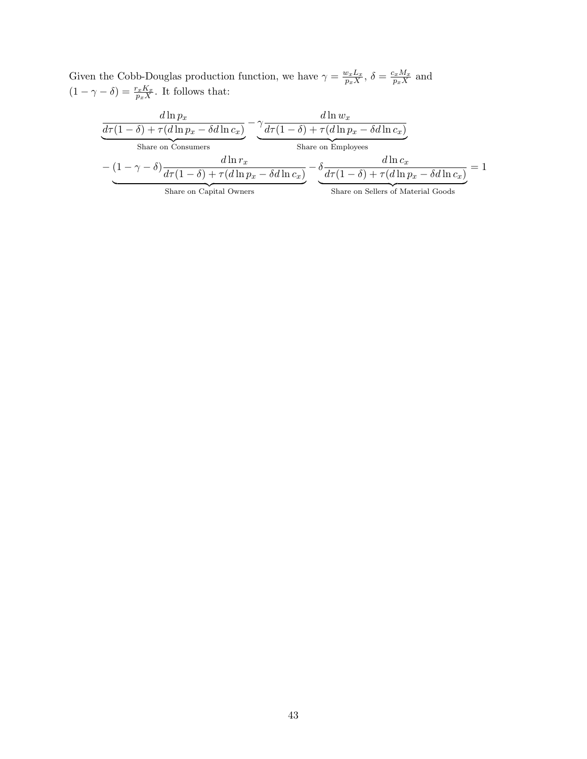Given the Cobb-Douglas production function, we have  $\gamma = \frac{w_x L_x}{n X}$  $\frac{v_x L_x}{p_x X}, \, \delta = \frac{c_x M_x}{p_x X}$  $\frac{c_x M_x}{p_x X}$  and  $(1 - \gamma - \delta) = \frac{r_x K_x}{p_x X}$ . It follows that:

| $d\ln p_x$              |            | $d\ln w_r$                                                                                                                                             |
|-------------------------|------------|--------------------------------------------------------------------------------------------------------------------------------------------------------|
|                         |            | $d\tau(1-\delta) + \tau(d\ln p_x - \delta d\ln c_x) \quad \left(d\tau(1-\delta) + \tau(d\ln p_x - \delta d\ln c_x)\right)$                             |
| Share on Consumers      |            | Share on Employees                                                                                                                                     |
|                         | $d\ln r_x$ | $d \ln c_r$                                                                                                                                            |
|                         |            | $-\left(1-\gamma-\delta\right)\frac{1}{d\tau(1-\delta)+\tau(d\ln p_x-\delta d\ln c_x)}-\delta\frac{1}{d\tau(1-\delta)+\tau(d\ln p_x-\delta d\ln c_x)}$ |
| Share on Capital Owners |            | Share on Sellers of Material Goods                                                                                                                     |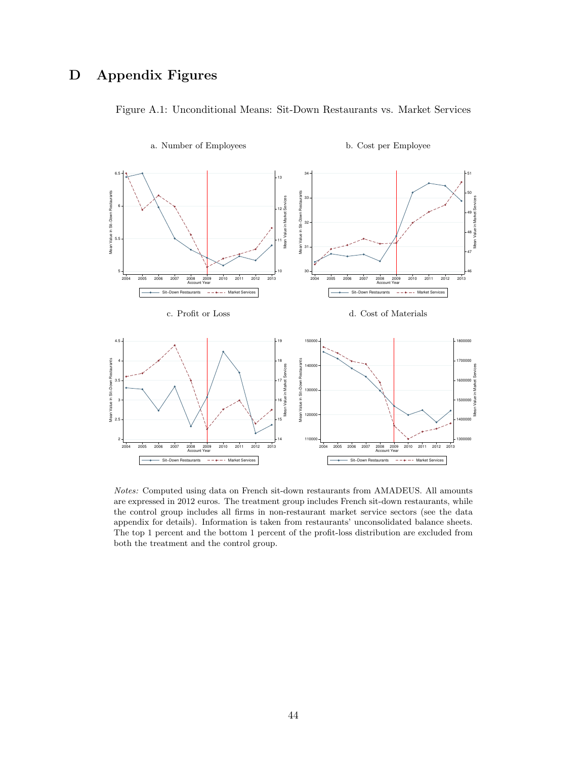# D Appendix Figures



Figure A.1: Unconditional Means: Sit-Down Restaurants vs. Market Services

Notes: Computed using data on French sit-down restaurants from AMADEUS. All amounts are expressed in 2012 euros. The treatment group includes French sit-down restaurants, while the control group includes all firms in non-restaurant market service sectors (see the data appendix for details). Information is taken from restaurants' unconsolidated balance sheets. The top 1 percent and the bottom 1 percent of the profit-loss distribution are excluded from both the treatment and the control group.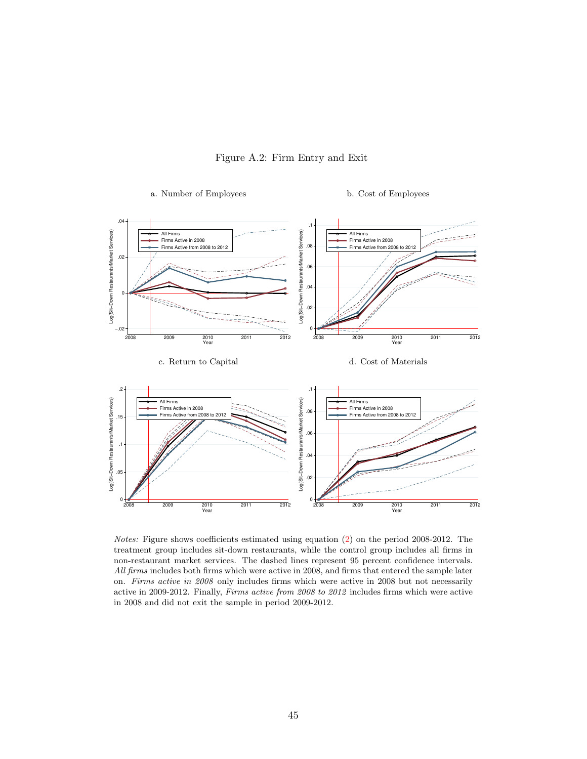

a. Number of Employees b. Cost of Employees

<span id="page-46-0"></span>

Notes: Figure shows coefficients estimated using equation [\(2\)](#page-10-0) on the period 2008-2012. The treatment group includes sit-down restaurants, while the control group includes all firms in non-restaurant market services. The dashed lines represent 95 percent confidence intervals. All firms includes both firms which were active in 2008, and firms that entered the sample later on. Firms active in 2008 only includes firms which were active in 2008 but not necessarily active in 2009-2012. Finally, Firms active from 2008 to 2012 includes firms which were active in 2008 and did not exit the sample in period 2009-2012.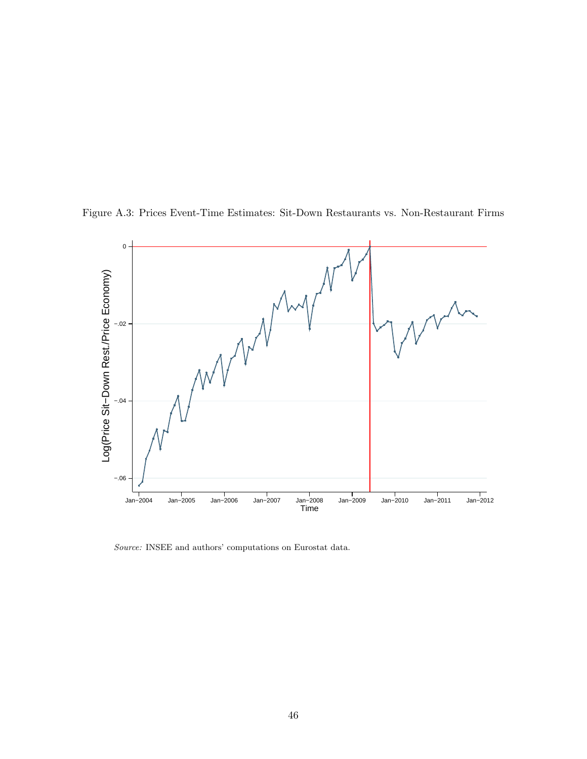

<span id="page-47-0"></span>

Source: INSEE and authors' computations on Eurostat data.